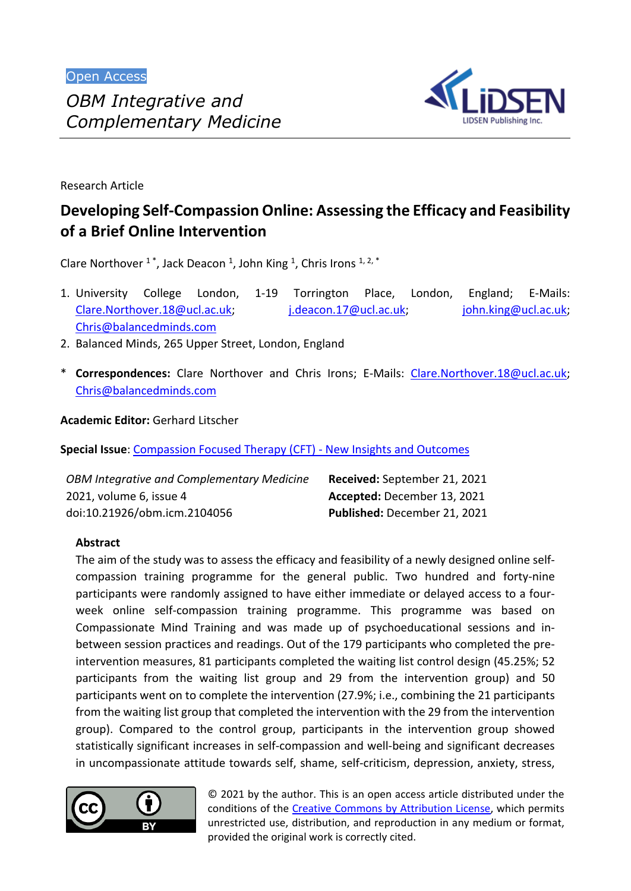

Research Article

# **Developing Self-Compassion Online: Assessing the Efficacy and Feasibility of a Brief Online Intervention**

Clare Northover  $1^*$ , Jack Deacon  $1$ , John King  $1$ , Chris Irons  $1, 2, *$ 

- 1. University College London, 1-19 Torrington Place, London, England; E-Mails: [Clare.Northover.18@ucl.ac.uk;](mailto:Clare.Northover.18@ucl.ac.uk) [j.deacon.17@ucl.ac.uk;](mailto:j.deacon.17@ucl.ac.uk) [john.king@ucl.ac.uk;](mailto:john.king@ucl.ac.uk) [Chris@balancedminds.com](mailto:Chris@balancedminds.com)
- 2. Balanced Minds, 265 Upper Street, London, England
- \* **Correspondences:** Clare Northover and Chris Irons; E-Mails: [Clare.Northover.18@ucl.ac.uk;](mailto:Clare.Northover.18@ucl.ac.uk) [Chris@balancedminds.com](mailto:Chris@balancedminds.com)

# **Academic Editor:** Gerhard Litscher

**Special Issue**: [Compassion](https://www.lidsen.com/journals/icm/icm-special-issues/compassion-focused-therapy) Focused Therapy (CFT) - New Insights and Outcomes

| <b>OBM Integrative and Complementary Medicine</b> | Received: September 21, 2021 |
|---------------------------------------------------|------------------------------|
| 2021, volume 6, issue 4                           | Accepted: December 13, 2021  |
| doi:10.21926/obm.icm.2104056                      | Published: December 21, 2021 |

# **Abstract**

The aim of the study was to assess the efficacy and feasibility of a newly designed online selfcompassion training programme for the general public. Two hundred and forty-nine participants were randomly assigned to have either immediate or delayed access to a fourweek online self-compassion training programme. This programme was based on Compassionate Mind Training and was made up of psychoeducational sessions and inbetween session practices and readings. Out of the 179 participants who completed the preintervention measures, 81 participants completed the waiting list control design (45.25%; 52 participants from the waiting list group and 29 from the intervention group) and 50 participants went on to complete the intervention (27.9%; i.e., combining the 21 participants from the waiting list group that completed the intervention with the 29 from the intervention group). Compared to the control group, participants in the intervention group showed statistically significant increases in self-compassion and well-being and significant decreases in uncompassionate attitude towards self, shame, self-criticism, depression, anxiety, stress,



© 2021 by the author. This is an open access article distributed under the conditions of the [Creative Commons by Attribution License,](http://creativecommons.org/licenses/by/4.0/) which permits unrestricted use, distribution, and reproduction in any medium or format, provided the original work is correctly cited.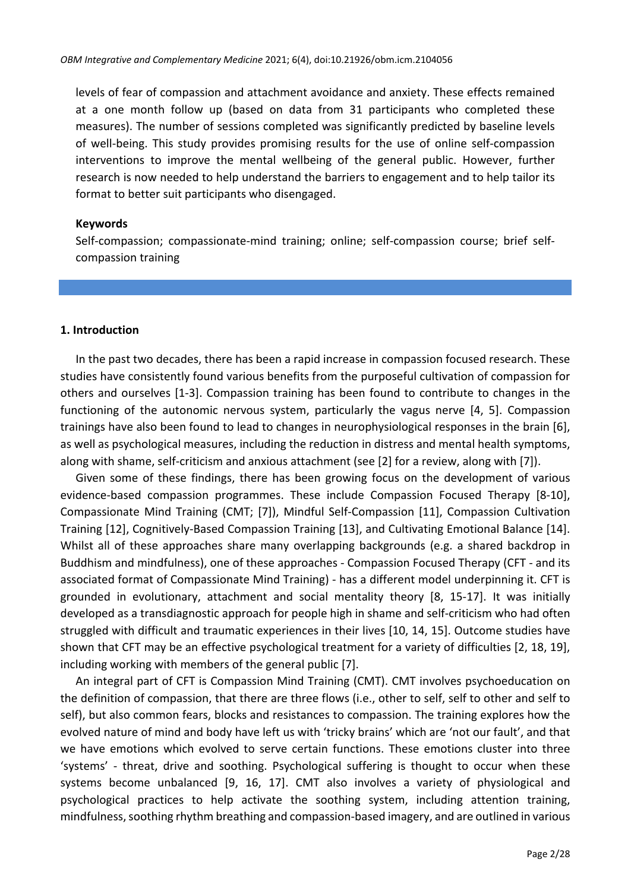levels of fear of compassion and attachment avoidance and anxiety. These effects remained at a one month follow up (based on data from 31 participants who completed these measures). The number of sessions completed was significantly predicted by baseline levels of well-being. This study provides promising results for the use of online self-compassion interventions to improve the mental wellbeing of the general public. However, further research is now needed to help understand the barriers to engagement and to help tailor its format to better suit participants who disengaged.

#### **Keywords**

Self-compassion; compassionate-mind training; online; self-compassion course; brief selfcompassion training

### **1. Introduction**

In the past two decades, there has been a rapid increase in compassion focused research. These studies have consistently found various benefits from the purposeful cultivation of compassion for others and ourselves [1-3]. Compassion training has been found to contribute to changes in the functioning of the autonomic nervous system, particularly the vagus nerve [4, 5]. Compassion trainings have also been found to lead to changes in neurophysiological responses in the brain [6], as well as psychological measures, including the reduction in distress and mental health symptoms, along with shame, self-criticism and anxious attachment (see [2] for a review, along with [7]).

Given some of these findings, there has been growing focus on the development of various evidence-based compassion programmes. These include Compassion Focused Therapy [8-10], Compassionate Mind Training (CMT; [7]), Mindful Self-Compassion [11], Compassion Cultivation Training [12], Cognitively-Based Compassion Training [13], and Cultivating Emotional Balance [14]. Whilst all of these approaches share many overlapping backgrounds (e.g. a shared backdrop in Buddhism and mindfulness), one of these approaches - Compassion Focused Therapy (CFT - and its associated format of Compassionate Mind Training) - has a different model underpinning it. CFT is grounded in evolutionary, attachment and social mentality theory [8, 15-17]. It was initially developed as a transdiagnostic approach for people high in shame and self-criticism who had often struggled with difficult and traumatic experiences in their lives [10, 14, 15]. Outcome studies have shown that CFT may be an effective psychological treatment for a variety of difficulties [2, 18, 19], including working with members of the general public [7].

An integral part of CFT is Compassion Mind Training (CMT). CMT involves psychoeducation on the definition of compassion, that there are three flows (i.e., other to self, self to other and self to self), but also common fears, blocks and resistances to compassion. The training explores how the evolved nature of mind and body have left us with 'tricky brains' which are 'not our fault', and that we have emotions which evolved to serve certain functions. These emotions cluster into three 'systems' - threat, drive and soothing. Psychological suffering is thought to occur when these systems become unbalanced [9, 16, 17]. CMT also involves a variety of physiological and psychological practices to help activate the soothing system, including attention training, mindfulness, soothing rhythm breathing and compassion-based imagery, and are outlined in various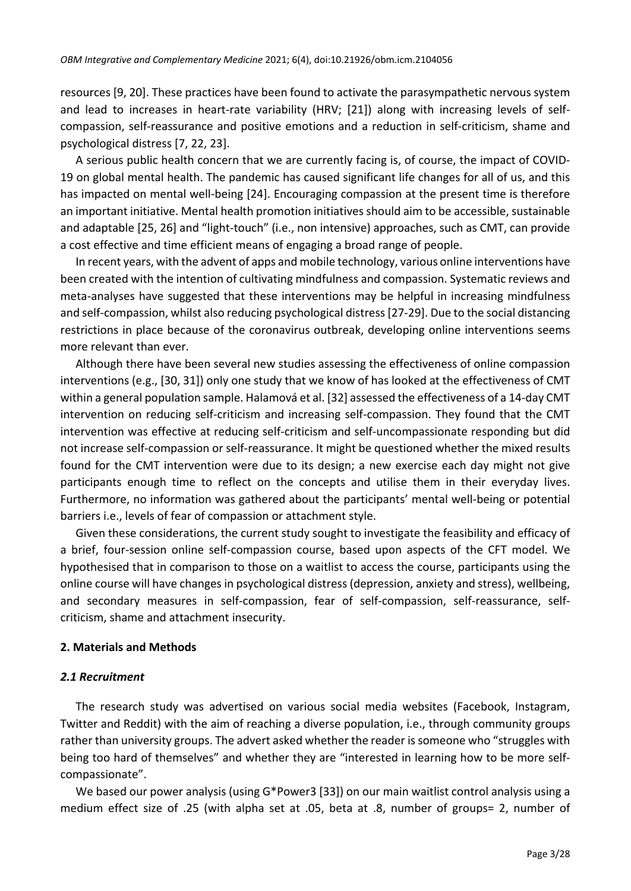resources [9, 20]. These practices have been found to activate the parasympathetic nervous system and lead to increases in heart-rate variability (HRV; [21]) along with increasing levels of selfcompassion, self-reassurance and positive emotions and a reduction in self-criticism, shame and psychological distress [7, 22, 23].

A serious public health concern that we are currently facing is, of course, the impact of COVID-19 on global mental health. The pandemic has caused significant life changes for all of us, and this has impacted on mental well-being [24]. Encouraging compassion at the present time is therefore an important initiative. Mental health promotion initiatives should aim to be accessible, sustainable and adaptable [25, 26] and "light-touch" (i.e., non intensive) approaches, such as CMT, can provide a cost effective and time efficient means of engaging a broad range of people.

In recent years, with the advent of apps and mobile technology, various online interventions have been created with the intention of cultivating mindfulness and compassion. Systematic reviews and meta-analyses have suggested that these interventions may be helpful in increasing mindfulness and self-compassion, whilst also reducing psychological distress[27-29]. Due to the social distancing restrictions in place because of the coronavirus outbreak, developing online interventions seems more relevant than ever.

Although there have been several new studies assessing the effectiveness of online compassion interventions (e.g., [30, 31]) only one study that we know of has looked at the effectiveness of CMT within a general population sample. Halamová et al. [32] assessed the effectiveness of a 14-day CMT intervention on reducing self-criticism and increasing self-compassion. They found that the CMT intervention was effective at reducing self-criticism and self-uncompassionate responding but did not increase self-compassion or self-reassurance. It might be questioned whether the mixed results found for the CMT intervention were due to its design; a new exercise each day might not give participants enough time to reflect on the concepts and utilise them in their everyday lives. Furthermore, no information was gathered about the participants' mental well-being or potential barriers i.e., levels of fear of compassion or attachment style.

Given these considerations, the current study sought to investigate the feasibility and efficacy of a brief, four-session online self-compassion course, based upon aspects of the CFT model. We hypothesised that in comparison to those on a waitlist to access the course, participants using the online course will have changes in psychological distress(depression, anxiety and stress), wellbeing, and secondary measures in self-compassion, fear of self-compassion, self-reassurance, selfcriticism, shame and attachment insecurity.

### **2. Materials and Methods**

### *2.1 Recruitment*

The research study was advertised on various social media websites (Facebook, Instagram, Twitter and Reddit) with the aim of reaching a diverse population, i.e., through community groups rather than university groups. The advert asked whether the reader is someone who "struggles with being too hard of themselves" and whether they are "interested in learning how to be more selfcompassionate".

We based our power analysis (using G\*Power3 [33]) on our main waitlist control analysis using a medium effect size of .25 (with alpha set at .05, beta at .8, number of groups= 2, number of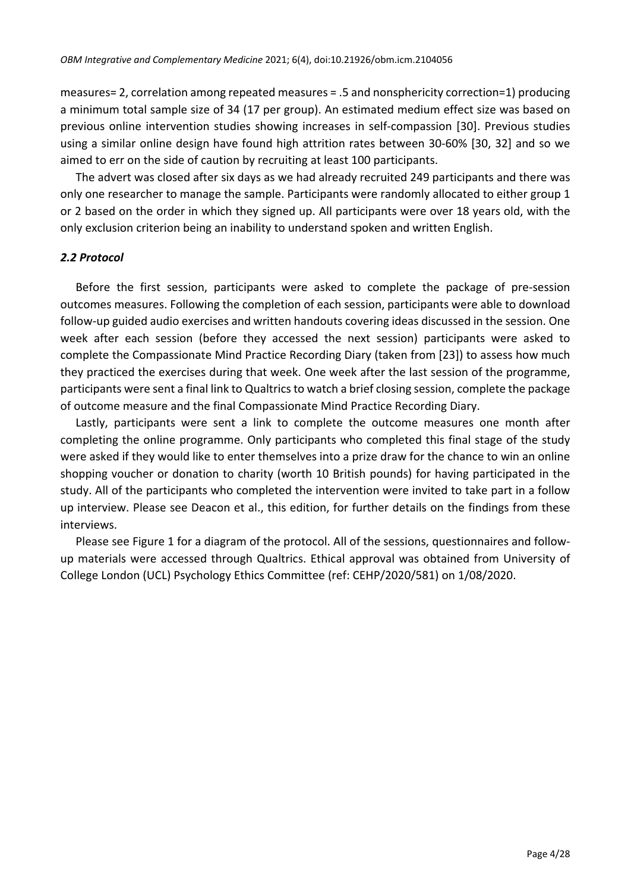measures= 2, correlation among repeated measures = .5 and nonsphericity correction=1) producing a minimum total sample size of 34 (17 per group). An estimated medium effect size was based on previous online intervention studies showing increases in self-compassion [30]. Previous studies using a similar online design have found high attrition rates between 30-60% [30, 32] and so we aimed to err on the side of caution by recruiting at least 100 participants.

The advert was closed after six days as we had already recruited 249 participants and there was only one researcher to manage the sample. Participants were randomly allocated to either group 1 or 2 based on the order in which they signed up. All participants were over 18 years old, with the only exclusion criterion being an inability to understand spoken and written English.

## *2.2 Protocol*

Before the first session, participants were asked to complete the package of pre-session outcomes measures. Following the completion of each session, participants were able to download follow-up guided audio exercises and written handouts covering ideas discussed in the session. One week after each session (before they accessed the next session) participants were asked to complete the Compassionate Mind Practice Recording Diary (taken from [23]) to assess how much they practiced the exercises during that week. One week after the last session of the programme, participants were sent a final link to Qualtrics to watch a brief closing session, complete the package of outcome measure and the final Compassionate Mind Practice Recording Diary.

Lastly, participants were sent a link to complete the outcome measures one month after completing the online programme. Only participants who completed this final stage of the study were asked if they would like to enter themselves into a prize draw for the chance to win an online shopping voucher or donation to charity (worth 10 British pounds) for having participated in the study. All of the participants who completed the intervention were invited to take part in a follow up interview. Please see Deacon et al., this edition, for further details on the findings from these interviews.

Please see Figure 1 for a diagram of the protocol. All of the sessions, questionnaires and followup materials were accessed through Qualtrics. Ethical approval was obtained from University of College London (UCL) Psychology Ethics Committee (ref: CEHP/2020/581) on 1/08/2020.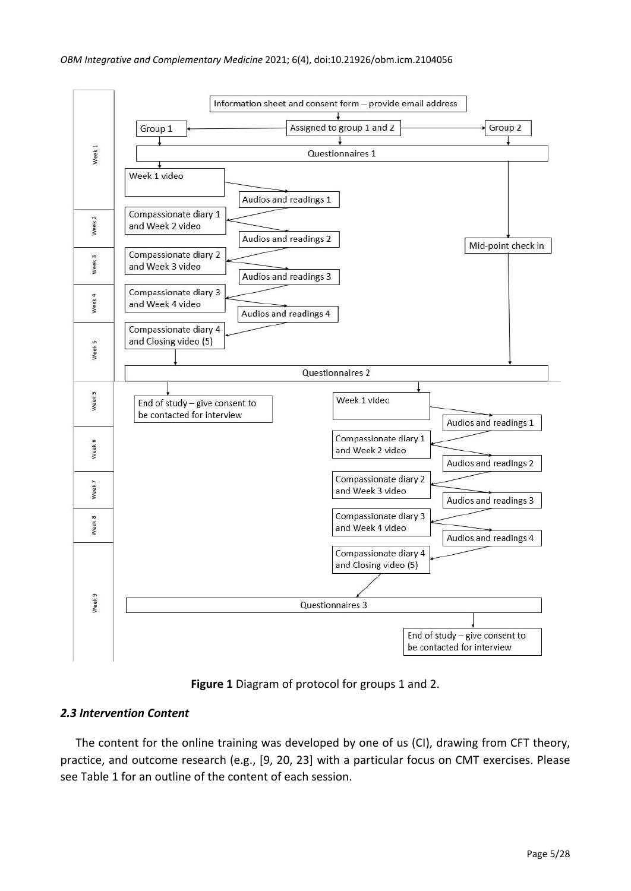

**Figure 1** Diagram of protocol for groups 1 and 2.

### *2.3 Intervention Content*

The content for the online training was developed by one of us (CI), drawing from CFT theory, practice, and outcome research (e.g., [9, 20, 23] with a particular focus on CMT exercises. Please see Table 1 for an outline of the content of each session.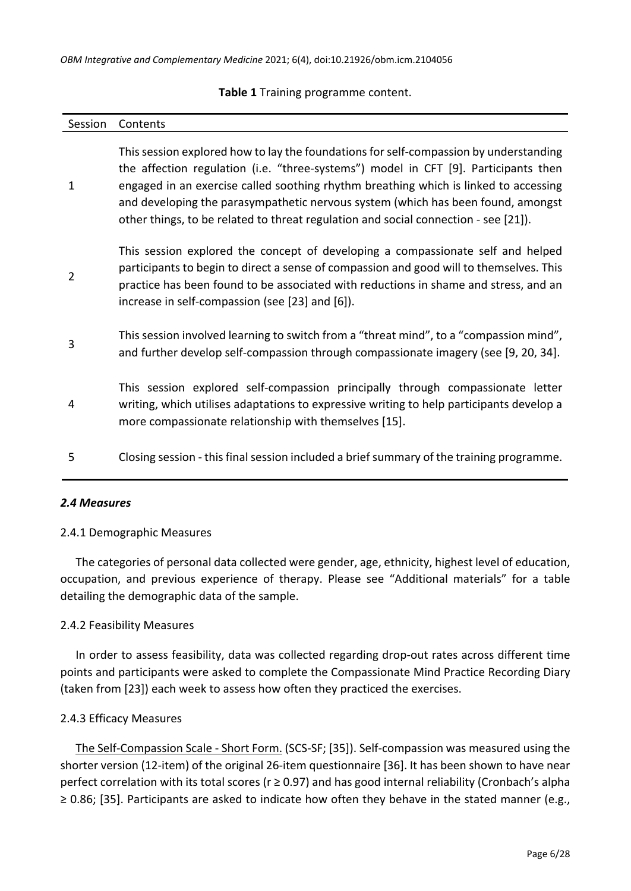#### **Table 1** Training programme content.

| Session        | Contents                                                                                                                                                                                                                                                                                                                                                                                                                                        |
|----------------|-------------------------------------------------------------------------------------------------------------------------------------------------------------------------------------------------------------------------------------------------------------------------------------------------------------------------------------------------------------------------------------------------------------------------------------------------|
| $\mathbf{1}$   | This session explored how to lay the foundations for self-compassion by understanding<br>the affection regulation (i.e. "three-systems") model in CFT [9]. Participants then<br>engaged in an exercise called soothing rhythm breathing which is linked to accessing<br>and developing the parasympathetic nervous system (which has been found, amongst<br>other things, to be related to threat regulation and social connection - see [21]). |
| $\overline{2}$ | This session explored the concept of developing a compassionate self and helped<br>participants to begin to direct a sense of compassion and good will to themselves. This<br>practice has been found to be associated with reductions in shame and stress, and an<br>increase in self-compassion (see [23] and [6]).                                                                                                                           |
| 3              | This session involved learning to switch from a "threat mind", to a "compassion mind",<br>and further develop self-compassion through compassionate imagery (see [9, 20, 34].                                                                                                                                                                                                                                                                   |
| 4              | This session explored self-compassion principally through compassionate letter<br>writing, which utilises adaptations to expressive writing to help participants develop a<br>more compassionate relationship with themselves [15].                                                                                                                                                                                                             |
| 5              | Closing session - this final session included a brief summary of the training programme.                                                                                                                                                                                                                                                                                                                                                        |

#### *2.4 Measures*

### 2.4.1 Demographic Measures

The categories of personal data collected were gender, age, ethnicity, highest level of education, occupation, and previous experience of therapy. Please see "Additional materials" for a table detailing the demographic data of the sample.

#### 2.4.2 Feasibility Measures

In order to assess feasibility, data was collected regarding drop-out rates across different time points and participants were asked to complete the Compassionate Mind Practice Recording Diary (taken from [23]) each week to assess how often they practiced the exercises.

### 2.4.3 Efficacy Measures

The Self-Compassion Scale - Short Form. (SCS-SF; [35]). Self-compassion was measured using the shorter version (12-item) of the original 26-item questionnaire [36]. It has been shown to have near perfect correlation with its total scores (r ≥ 0.97) and has good internal reliability (Cronbach's alpha ≥ 0.86; [35]. Participants are asked to indicate how often they behave in the stated manner (e.g.,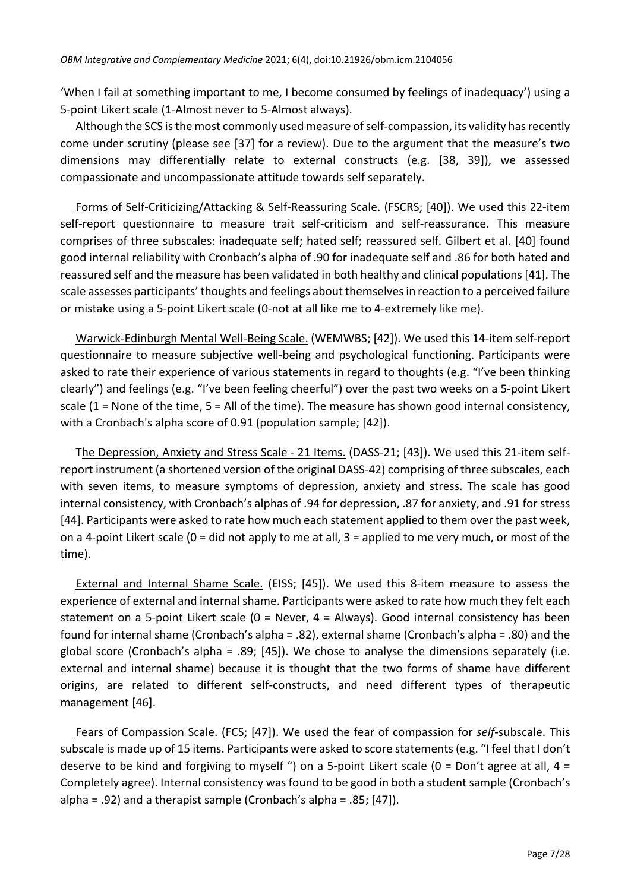'When I fail at something important to me, I become consumed by feelings of inadequacy') using a 5-point Likert scale (1-Almost never to 5-Almost always).

Although the SCS is the most commonly used measure of self-compassion, its validity has recently come under scrutiny (please see [37] for a review). Due to the argument that the measure's two dimensions may differentially relate to external constructs (e.g. [38, 39]), we assessed compassionate and uncompassionate attitude towards self separately.

Forms of Self-Criticizing/Attacking & Self-Reassuring Scale. (FSCRS; [40]). We used this 22-item self-report questionnaire to measure trait self-criticism and self-reassurance. This measure comprises of three subscales: inadequate self; hated self; reassured self. Gilbert et al. [40] found good internal reliability with Cronbach's alpha of .90 for inadequate self and .86 for both hated and reassured self and the measure has been validated in both healthy and clinical populations[41]. The scale assesses participants' thoughts and feelings about themselvesin reaction to a perceived failure or mistake using a 5-point Likert scale (0-not at all like me to 4-extremely like me).

Warwick-Edinburgh Mental Well-Being Scale. (WEMWBS; [42]). We used this 14-item self-report questionnaire to measure subjective well-being and psychological functioning. Participants were asked to rate their experience of various statements in regard to thoughts (e.g. "I've been thinking clearly") and feelings (e.g. "I've been feeling cheerful") over the past two weeks on a 5-point Likert scale  $(1 =$  None of the time,  $5 =$  All of the time). The measure has shown good internal consistency, with a Cronbach's alpha score of 0.91 (population sample; [42]).

The Depression, Anxiety and Stress Scale - 21 Items. (DASS-21; [43]). We used this 21-item selfreport instrument (a shortened version of the original DASS-42) comprising of three subscales, each with seven items, to measure symptoms of depression, anxiety and stress. The scale has good internal consistency, with Cronbach's alphas of .94 for depression, .87 for anxiety, and .91 for stress [44]. Participants were asked to rate how much each statement applied to them over the past week, on a 4-point Likert scale (0 = did not apply to me at all, 3 = applied to me very much, or most of the time).

External and Internal Shame Scale. (EISS; [45]). We used this 8-item measure to assess the experience of external and internal shame. Participants were asked to rate how much they felt each statement on a 5-point Likert scale (0 = Never, 4 = Always). Good internal consistency has been found for internal shame (Cronbach's alpha = .82), external shame (Cronbach's alpha = .80) and the global score (Cronbach's alpha = .89; [45]). We chose to analyse the dimensions separately (i.e. external and internal shame) because it is thought that the two forms of shame have different origins, are related to different self-constructs, and need different types of therapeutic management [46].

Fears of Compassion Scale. (FCS; [47]). We used the fear of compassion for *self*-subscale. This subscale is made up of 15 items. Participants were asked to score statements(e.g. "I feel that I don't deserve to be kind and forgiving to myself ") on a 5-point Likert scale (0 = Don't agree at all, 4 = Completely agree). Internal consistency was found to be good in both a student sample (Cronbach's alpha = .92) and a therapist sample (Cronbach's alpha = .85; [47]).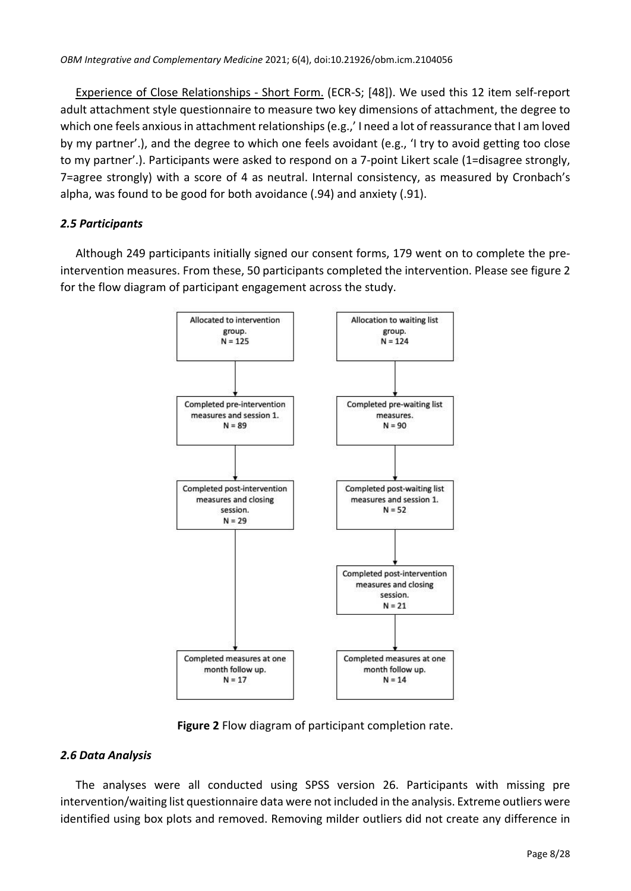Experience of Close Relationships - Short Form. (ECR-S; [48]). We used this 12 item self-report adult attachment style questionnaire to measure two key dimensions of attachment, the degree to which one feels anxious in attachment relationships (e.g.,' I need a lot of reassurance that I am loved by my partner'.), and the degree to which one feels avoidant (e.g., 'I try to avoid getting too close to my partner'.). Participants were asked to respond on a 7-point Likert scale (1=disagree strongly, 7=agree strongly) with a score of 4 as neutral. Internal consistency, as measured by Cronbach's alpha, was found to be good for both avoidance (.94) and anxiety (.91).

# *2.5 Participants*

Although 249 participants initially signed our consent forms, 179 went on to complete the preintervention measures. From these, 50 participants completed the intervention. Please see figure 2 for the flow diagram of participant engagement across the study.



**Figure 2** Flow diagram of participant completion rate.

# *2.6 Data Analysis*

The analyses were all conducted using SPSS version 26. Participants with missing pre intervention/waiting list questionnaire data were not included in the analysis. Extreme outliers were identified using box plots and removed. Removing milder outliers did not create any difference in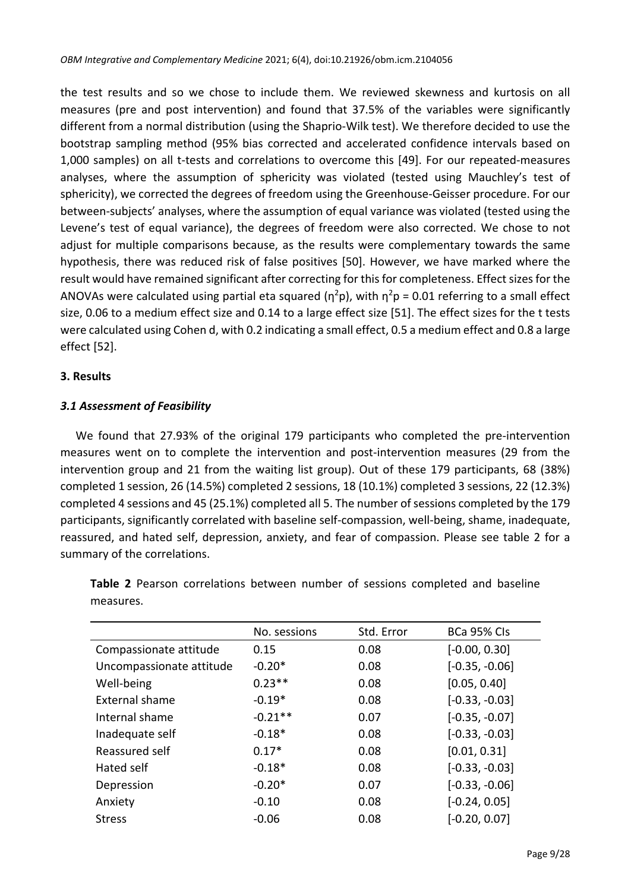the test results and so we chose to include them. We reviewed skewness and kurtosis on all measures (pre and post intervention) and found that 37.5% of the variables were significantly different from a normal distribution (using the Shaprio-Wilk test). We therefore decided to use the bootstrap sampling method (95% bias corrected and accelerated confidence intervals based on 1,000 samples) on all t-tests and correlations to overcome this [49]. For our repeated-measures analyses, where the assumption of sphericity was violated (tested using Mauchley's test of sphericity), we corrected the degrees of freedom using the Greenhouse-Geisser procedure. For our between-subjects' analyses, where the assumption of equal variance was violated (tested using the Levene's test of equal variance), the degrees of freedom were also corrected. We chose to not adjust for multiple comparisons because, as the results were complementary towards the same hypothesis, there was reduced risk of false positives [50]. However, we have marked where the result would have remained significant after correcting for this for completeness. Effect sizes for the ANOVAs were calculated using partial eta squared ( $\eta^2$ p), with  $\eta^2$ p = 0.01 referring to a small effect size, 0.06 to a medium effect size and 0.14 to a large effect size [51]. The effect sizes for the t tests were calculated using Cohen d, with 0.2 indicating a small effect, 0.5 a medium effect and 0.8 a large effect [52].

# **3. Results**

# *3.1 Assessment of Feasibility*

We found that 27.93% of the original 179 participants who completed the pre-intervention measures went on to complete the intervention and post-intervention measures (29 from the intervention group and 21 from the waiting list group). Out of these 179 participants, 68 (38%) completed 1 session, 26 (14.5%) completed 2 sessions, 18 (10.1%) completed 3 sessions, 22 (12.3%) completed 4 sessions and 45 (25.1%) completed all 5. The number of sessions completed by the 179 participants, significantly correlated with baseline self-compassion, well-being, shame, inadequate, reassured, and hated self, depression, anxiety, and fear of compassion. Please see table 2 for a summary of the correlations.

|                          | No. sessions | Std. Error | <b>BCa 95% CIs</b> |
|--------------------------|--------------|------------|--------------------|
| Compassionate attitude   | 0.15         | 0.08       | $[-0.00, 0.30]$    |
| Uncompassionate attitude | $-0.20*$     | 0.08       | $[-0.35, -0.06]$   |
| Well-being               | $0.23**$     | 0.08       | [0.05, 0.40]       |
| <b>External shame</b>    | $-0.19*$     | 0.08       | $[-0.33, -0.03]$   |
| Internal shame           | $-0.21**$    | 0.07       | $[-0.35, -0.07]$   |
| Inadequate self          | $-0.18*$     | 0.08       | $[-0.33, -0.03]$   |
| Reassured self           | $0.17*$      | 0.08       | [0.01, 0.31]       |
| Hated self               | $-0.18*$     | 0.08       | $[-0.33, -0.03]$   |
| Depression               | $-0.20*$     | 0.07       | $[-0.33, -0.06]$   |
| Anxiety                  | $-0.10$      | 0.08       | $[-0.24, 0.05]$    |
| <b>Stress</b>            | $-0.06$      | 0.08       | $[-0.20, 0.07]$    |

**Table 2** Pearson correlations between number of sessions completed and baseline measures.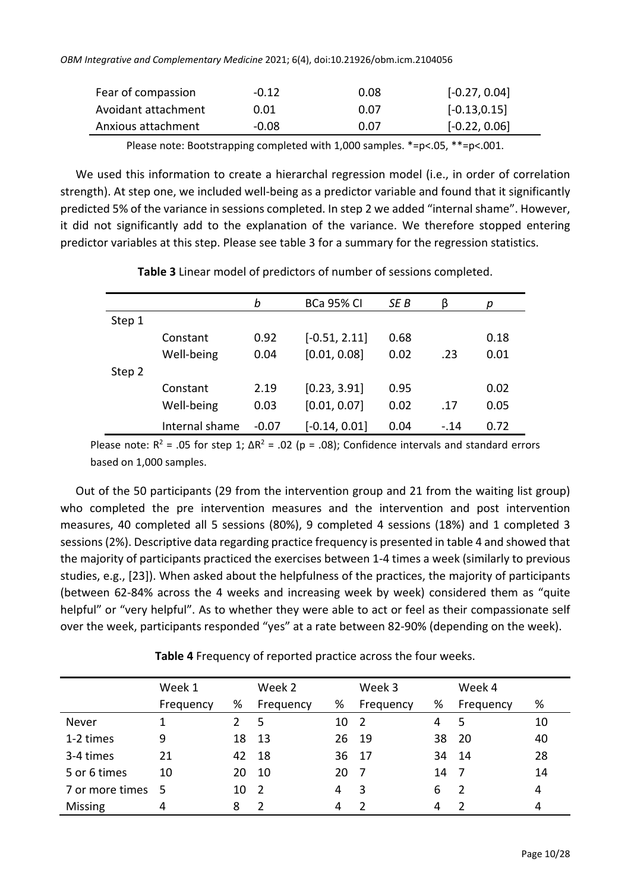| Fear of compassion  | $-0.12$ | 0.08 | $[-0.27, 0.04]$ |
|---------------------|---------|------|-----------------|
| Avoidant attachment | 0.01    | 0.07 | $[-0.13, 0.15]$ |
| Anxious attachment  | $-0.08$ | 0.07 | $[-0.22, 0.06]$ |

Please note: Bootstrapping completed with 1,000 samples. \*=p<.05, \*\*=p<.001.

We used this information to create a hierarchal regression model (i.e., in order of correlation strength). At step one, we included well-being as a predictor variable and found that it significantly predicted 5% of the variance in sessions completed. In step 2 we added "internal shame". However, it did not significantly add to the explanation of the variance. We therefore stopped entering predictor variables at this step. Please see table 3 for a summary for the regression statistics.

|        |                | b       | <b>BCa 95% CI</b> | SE B | β      | р    |
|--------|----------------|---------|-------------------|------|--------|------|
| Step 1 |                |         |                   |      |        |      |
|        | Constant       | 0.92    | $[-0.51, 2.11]$   | 0.68 |        | 0.18 |
|        | Well-being     | 0.04    | [0.01, 0.08]      | 0.02 | .23    | 0.01 |
| Step 2 |                |         |                   |      |        |      |
|        | Constant       | 2.19    | [0.23, 3.91]      | 0.95 |        | 0.02 |
|        | Well-being     | 0.03    | [0.01, 0.07]      | 0.02 | .17    | 0.05 |
|        | Internal shame | $-0.07$ | $[-0.14, 0.01]$   | 0.04 | $-.14$ | 0.72 |

**Table 3** Linear model of predictors of number of sessions completed.

Please note:  $R^2$  = .05 for step 1;  $\Delta R^2$  = .02 (p = .08); Confidence intervals and standard errors based on 1,000 samples.

Out of the 50 participants (29 from the intervention group and 21 from the waiting list group) who completed the pre intervention measures and the intervention and post intervention measures, 40 completed all 5 sessions (80%), 9 completed 4 sessions (18%) and 1 completed 3 sessions(2%). Descriptive data regarding practice frequency is presented in table 4 and showed that the majority of participants practiced the exercises between 1-4 times a week (similarly to previous studies, e.g., [23]). When asked about the helpfulness of the practices, the majority of participants (between 62-84% across the 4 weeks and increasing week by week) considered them as "quite helpful" or "very helpful". As to whether they were able to act or feel as their compassionate self over the week, participants responded "yes" at a rate between 82-90% (depending on the week).

|                 | Week 1    |    | Week 2                   |    | Week 3         |    | Week 4         |    |
|-----------------|-----------|----|--------------------------|----|----------------|----|----------------|----|
|                 | Frequency | %  | Frequency                | %  | Frequency      | %  | Frequency      | %  |
| Never           |           |    | 5                        | 10 | $\overline{2}$ | 4  | 5              | 10 |
| 1-2 times       | 9         |    | 18 13                    | 26 | -19            | 38 | 20             | 40 |
| 3-4 times       | 21        |    | 42 18                    | 36 | - 17           |    | 34 14          | 28 |
| 5 or 6 times    | 10        | 20 | - 10                     | 20 | - 7            | 14 |                | 14 |
| 7 or more times | - 5       | 10 | $\overline{\phantom{a}}$ | 4  | 3              | 6  | $\overline{2}$ | 4  |
| <b>Missing</b>  | 4         |    | 7                        | 4  | $\mathcal{L}$  | Δ  |                | 4  |

**Table 4** Frequency of reported practice across the four weeks.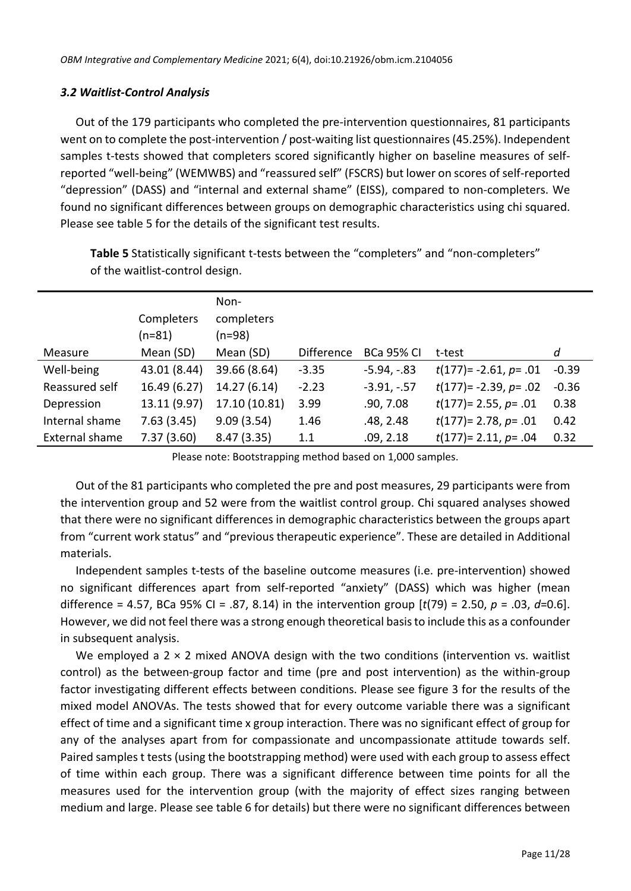### *3.2 Waitlist-Control Analysis*

Out of the 179 participants who completed the pre-intervention questionnaires, 81 participants went on to complete the post-intervention / post-waiting list questionnaires(45.25%). Independent samples t-tests showed that completers scored significantly higher on baseline measures of selfreported "well-being" (WEMWBS) and "reassured self" (FSCRS) but lower on scores of self-reported "depression" (DASS) and "internal and external shame" (EISS), compared to non-completers. We found no significant differences between groups on demographic characteristics using chi squared. Please see table 5 for the details of the significant test results.

**Completers** (n=81) Noncompleters (n=98) Measure Mean (SD) Mean (SD) Difference BCa 95% CI t-test *d* Well-being 43.01 (8.44) 39.66 (8.64) -3.35 -5.94, -.83 *t*(177)= -2.61, *p*= .01 -0.39 Reassured self 16.49 (6.27) 14.27 (6.14) -2.23 -3.91, -.57 *t*(177)= -2.39, *p*= .02 -0.36 Depression 13.11 (9.97) 17.10 (10.81) 3.99 .90, 7.08 *t*(177)= 2.55, *p*= .01 0.38 Internal shame 7.63 (3.45) 9.09 (3.54) 1.46 .48, 2.48 *t*(177)= 2.78, *p*= .01 0.42 External shame 7.37 (3.60) 8.47 (3.35) 1.1 .09, 2.18 *t*(177)= 2.11, *p*= .04 0.32

**Table 5** Statistically significant t-tests between the "completers" and "non-completers" of the waitlist-control design.

Please note: Bootstrapping method based on 1,000 samples.

Out of the 81 participants who completed the pre and post measures, 29 participants were from the intervention group and 52 were from the waitlist control group. Chi squared analyses showed that there were no significant differences in demographic characteristics between the groups apart from "current work status" and "previous therapeutic experience". These are detailed in Additional materials.

Independent samples t-tests of the baseline outcome measures (i.e. pre-intervention) showed no significant differences apart from self-reported "anxiety" (DASS) which was higher (mean difference = 4.57, BCa 95% CI = .87, 8.14) in the intervention group [*t*(79) = 2.50, *p* = .03, *d*=0.6]. However, we did not feel there was a strong enough theoretical basisto include this as a confounder in subsequent analysis.

We employed a  $2 \times 2$  mixed ANOVA design with the two conditions (intervention vs. waitlist control) as the between-group factor and time (pre and post intervention) as the within-group factor investigating different effects between conditions. Please see figure 3 for the results of the mixed model ANOVAs. The tests showed that for every outcome variable there was a significant effect of time and a significant time x group interaction. There was no significant effect of group for any of the analyses apart from for compassionate and uncompassionate attitude towards self. Paired samples t tests (using the bootstrapping method) were used with each group to assess effect of time within each group. There was a significant difference between time points for all the measures used for the intervention group (with the majority of effect sizes ranging between medium and large. Please see table 6 for details) but there were no significant differences between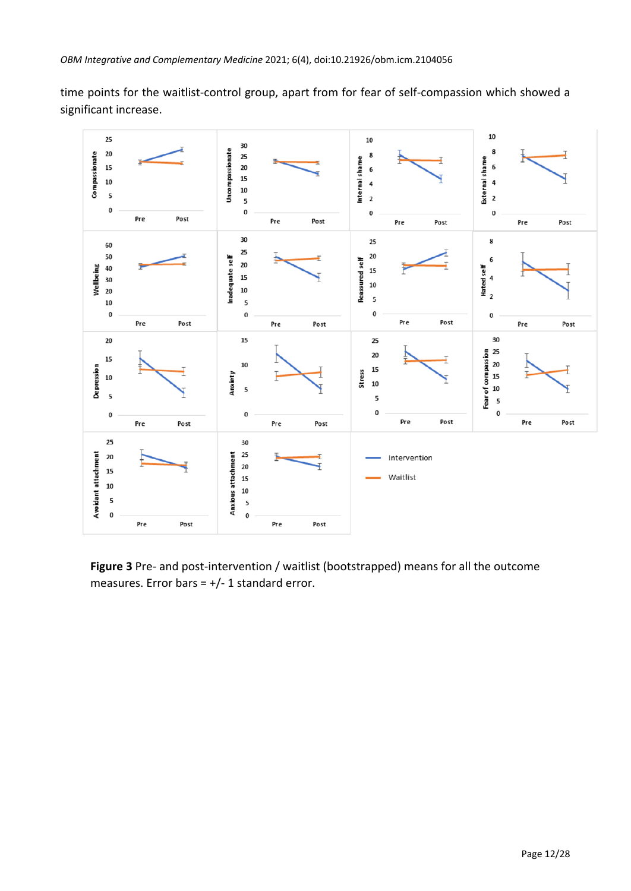time points for the waitlist-control group, apart from for fear of self-compassion which showed a significant increase.



**Figure 3** Pre- and post-intervention / waitlist (bootstrapped) means for all the outcome measures. Error bars  $= +/- 1$  standard error.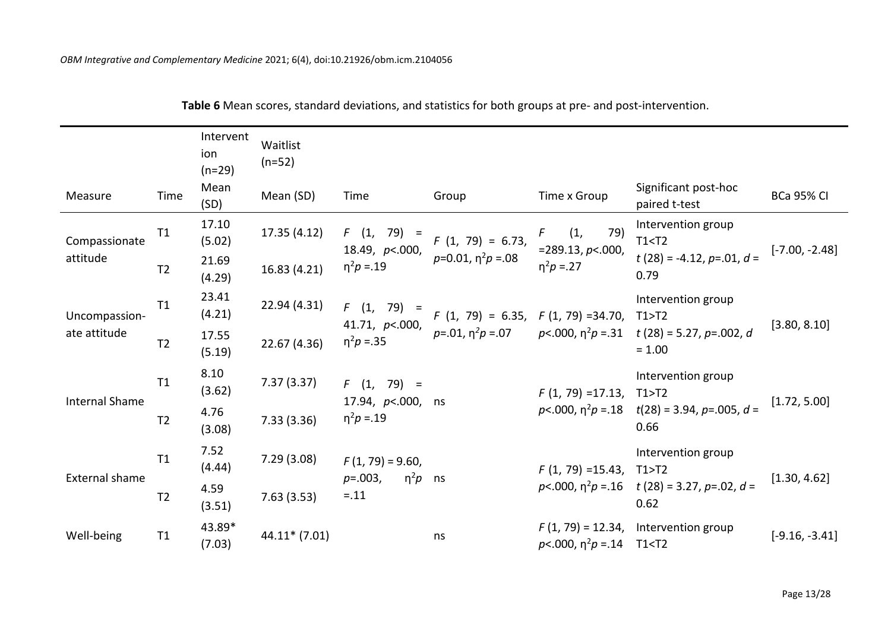|                            |                | Intervent<br>ion<br>$(n=29)$ | Waitlist<br>$(n=52)$ |                                        |                                              |                                                                                                                                               |                                                                                    |                   |  |
|----------------------------|----------------|------------------------------|----------------------|----------------------------------------|----------------------------------------------|-----------------------------------------------------------------------------------------------------------------------------------------------|------------------------------------------------------------------------------------|-------------------|--|
| Measure                    | Time           | Mean<br>(SD)                 | Mean (SD)            | Time                                   | Group                                        | Time x Group                                                                                                                                  | Significant post-hoc<br>paired t-test                                              | <b>BCa 95% CI</b> |  |
| T1<br>Compassionate        |                | 17.10<br>(5.02)              | 17.35 (4.12)         | $F(1, 79) =$<br>18.49, $p<.000$ ,      | $F(1, 79) = 6.73,$                           | 79)<br>(1,<br>F <sub>1</sub><br>$=$ 289.13, p<.000,                                                                                           | Intervention group<br>T1 < T2                                                      | $[-7.00, -2.48]$  |  |
| attitude<br>T <sub>2</sub> |                | 21.69<br>(4.29)              | 16.83(4.21)          | $\eta^2 p = 19$                        | $p=0.01, \eta^2 p=.08$                       | $\eta^2 p = 27$                                                                                                                               | $t(28) = -4.12, p = 0.01, d =$<br>0.79                                             |                   |  |
| Uncompassion-              | T1             | 23.41<br>(4.21)              | 22.94 (4.31)         | $F(1, 79) =$                           | $F(1, 79) = 6.35, F(1, 79) = 34.70, T1 > T2$ |                                                                                                                                               | Intervention group                                                                 |                   |  |
| ate attitude               | T <sub>2</sub> | 17.55<br>(5.19)              | 22.67 (4.36)         | 41.71, $p<.000$ ,<br>$\eta^2 p = 35$   |                                              |                                                                                                                                               | $p=.01, \eta^2 p=.07$ $p<.000, \eta^2 p=.31$ $t(28) = 5.27, p=.002, d$<br>$= 1.00$ | [3.80, 8.10]      |  |
|                            | T1             | 8.10<br>(3.62)               | 7.37(3.37)           | $F(1, 79) =$                           |                                              | $F(1, 79) = 17.13, T1 > 72$                                                                                                                   | Intervention group                                                                 |                   |  |
| <b>Internal Shame</b>      | T <sub>2</sub> | 4.76<br>(3.08)               | 7.33(3.36)           | 17.94, p <. 000, ns<br>$\eta^2 p = 19$ |                                              |                                                                                                                                               | $p<.000$ , $\eta^2 p = 18$ $t(28) = 3.94$ , $p = .005$ , $d =$<br>0.66             | [1.72, 5.00]      |  |
|                            | T1             | 7.52<br>(4.44)               | 7.29(3.08)           | $F(1, 79) = 9.60,$                     |                                              | $F(1, 79) = 15.43$ , T1>T2                                                                                                                    | Intervention group                                                                 |                   |  |
| External shame             | T <sub>2</sub> | 4.59<br>(3.51)               | 7.63(3.53)           | $p = .003,$<br>$\eta^2 p$ ns<br>$=.11$ |                                              |                                                                                                                                               | $p<.000$ , $\eta^2 p = 0.16$ t (28) = 3.27, p=0.2, d =<br>0.62                     | [1.30, 4.62]      |  |
| Well-being                 | T1             | 43.89*<br>(7.03)             | 44.11* (7.01)        |                                        | ns                                           | $p<.000$ , $\eta^2 p = 14$ T1 <t2< td=""><td><math>F(1, 79) = 12.34</math>, Intervention group</td><td><math>[-9.16, -3.41]</math></td></t2<> | $F(1, 79) = 12.34$ , Intervention group                                            | $[-9.16, -3.41]$  |  |

**Table 6** Mean scores, standard deviations, and statistics for both groups at pre- and post-intervention.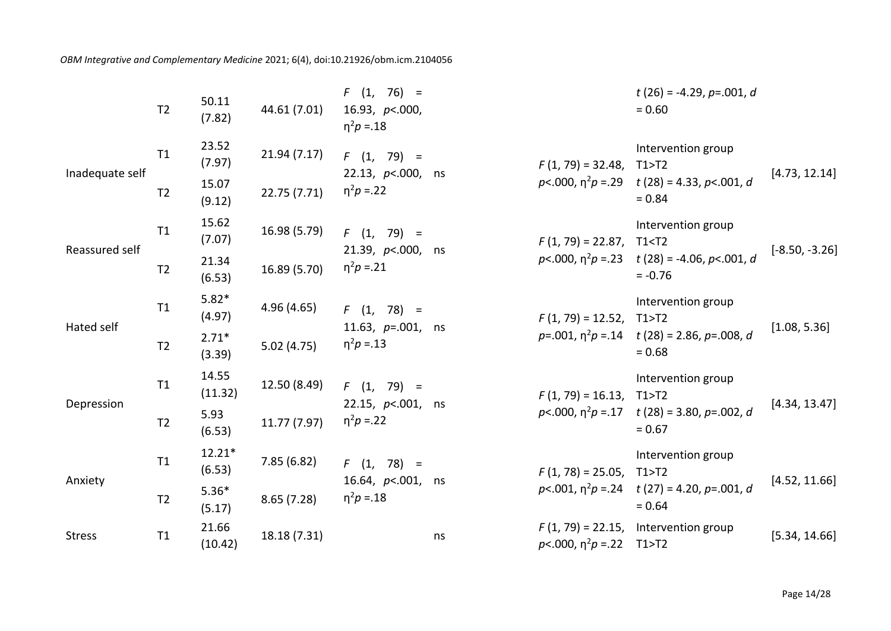*OBM Integrative and Complementary Medicine* 2021; 6(4), doi:10.21926/obm.icm.2104056

|                                         | T <sub>2</sub> | 50.11<br>(7.82)    | 44.61 (7.01) | $F(1, 76) =$<br>16.93, $p<.000$ ,<br>$\eta^2 p = 18$    |    |                                                                                                                                                                                                                                     | $t(26) = -4.29$ , p=.001, d<br>$= 0.60$                                                   |                  |
|-----------------------------------------|----------------|--------------------|--------------|---------------------------------------------------------|----|-------------------------------------------------------------------------------------------------------------------------------------------------------------------------------------------------------------------------------------|-------------------------------------------------------------------------------------------|------------------|
| T1<br>Inadequate self<br>T <sub>2</sub> |                | 23.52<br>(7.97)    | 21.94(7.17)  | $F(1, 79) =$<br>22.13, $p<.000$ , ns                    |    | $F(1, 79) = 32.48$ , T1>T2                                                                                                                                                                                                          | Intervention group                                                                        | [4.73, 12.14]    |
|                                         |                | 15.07<br>(9.12)    | 22.75(7.71)  | $\eta^2 p = 22$                                         |    |                                                                                                                                                                                                                                     | $p<.000$ , $p^2p = .29$ t (28) = 4.33, p <.001, d<br>$= 0.84$                             |                  |
| Reassured self                          | T1             | 15.62<br>(7.07)    | 16.98 (5.79) | $F(1, 79) =$<br>21.39, $p<.000$ , ns                    |    | $F(1, 79) = 22.87$ , T1 <t2< td=""><td rowspan="2">Intervention group<br/><math>p&lt;.000</math>, <math>\eta^2 p = .23</math> t (28) = -4.06, p &lt;.001, d<br/><math>= -0.76</math></td><td><math>[-8.50, -3.26]</math></td></t2<> | Intervention group<br>$p<.000$ , $\eta^2 p = .23$ t (28) = -4.06, p <.001, d<br>$= -0.76$ | $[-8.50, -3.26]$ |
| T <sub>2</sub>                          |                | 21.34<br>(6.53)    | 16.89 (5.70) | $\eta^2 p = 21$                                         |    |                                                                                                                                                                                                                                     |                                                                                           |                  |
| T1<br>Hated self<br>T <sub>2</sub>      |                | $5.82*$<br>(4.97)  | 4.96(4.65)   | $F(1, 78) =$<br>11.63, $p=.001$ , ns<br>$\eta^2 p = 13$ |    | $F(1, 79) = 12.52, T1 > T2$                                                                                                                                                                                                         | Intervention group<br>$p=.001, \eta^2 p=.14$ t (28) = 2.86, p=.008, d<br>$= 0.68$         | [1.08, 5.36]     |
|                                         |                | $2.71*$<br>(3.39)  | 5.02(4.75)   |                                                         |    |                                                                                                                                                                                                                                     |                                                                                           |                  |
| Depression                              | T1             | 14.55<br>(11.32)   | 12.50 (8.49) | $F(1, 79) =$<br>22.15, $p<.001$ , ns                    |    | $F(1, 79) = 16.13, T1 > T2$                                                                                                                                                                                                         | Intervention group                                                                        | [4.34, 13.47]    |
|                                         | T <sub>2</sub> | 5.93<br>(6.53)     | 11.77(7.97)  | $\eta^2 p = 22$                                         |    |                                                                                                                                                                                                                                     | $p<.000$ , $\eta^2 p = 0.17$ t (28) = 3.80, p=002, d<br>$= 0.67$                          |                  |
| Anxiety                                 | T1             | $12.21*$<br>(6.53) | 7.85(6.82)   | $F(1, 78) =$                                            |    | $F(1, 78) = 25.05$ , T1>T2                                                                                                                                                                                                          | Intervention group                                                                        | [4.52, 11.66]    |
|                                         | T <sub>2</sub> | $5.36*$<br>(5.17)  | 8.65(7.28)   | 16.64, $p<.001$ , ns<br>$\eta^2 p = 18$                 |    |                                                                                                                                                                                                                                     | $p<.001$ , $p^2p=.24$ t (27) = 4.20, p=.001, d<br>$= 0.64$                                |                  |
| <b>Stress</b>                           | T1             | 21.66<br>(10.42)   | 18.18 (7.31) |                                                         | ns | $p<.000$ , $\eta^2 p = .22$ T1>T2                                                                                                                                                                                                   | $F(1, 79) = 22.15$ , Intervention group                                                   | [5.34, 14.66]    |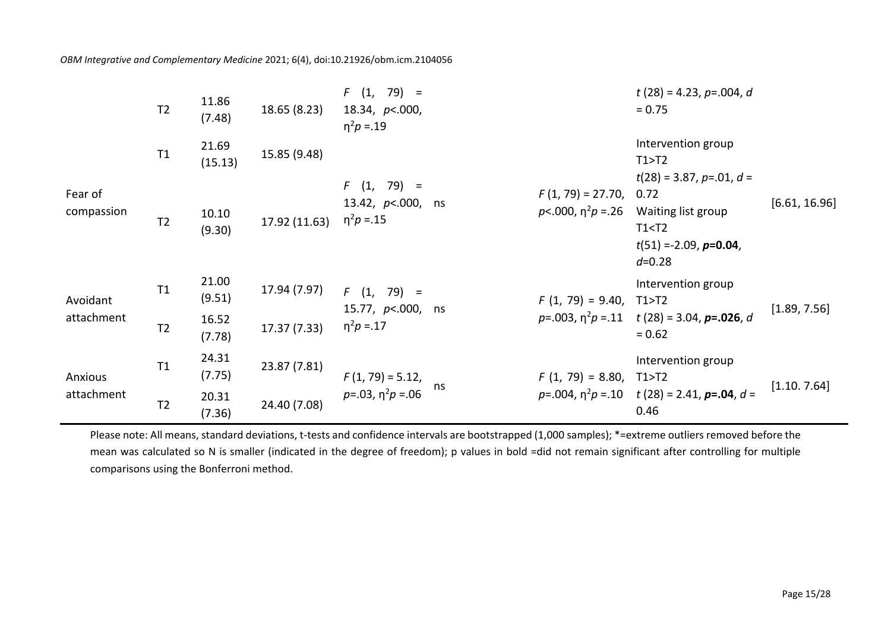*OBM Integrative and Complementary Medicine* 2021; 6(4), doi:10.21926/obm.icm.2104056

|                       | T <sub>2</sub> | 11.86<br>(7.48)  | 18.65 (8.23)  | $(1, 79) =$<br>F.<br>18.34, $p<.000$ ,<br>$\eta^2 p = 19$    |    |                                                        | $t(28) = 4.23, p = .004, d$<br>$= 0.75$                                                                     |               |
|-----------------------|----------------|------------------|---------------|--------------------------------------------------------------|----|--------------------------------------------------------|-------------------------------------------------------------------------------------------------------------|---------------|
|                       | T1             | 21.69<br>(15.13) | 15.85 (9.48)  |                                                              |    |                                                        | Intervention group<br>T1 > T2                                                                               |               |
| Fear of<br>compassion | T <sub>2</sub> | 10.10<br>(9.30)  | 17.92 (11.63) | $F(1, 79) =$<br>13.42, p <. 000, ns<br>$\eta^2 p = 15$       |    | $F(1, 79) = 27.70, 0.72$<br>$p<.000$ , $\eta^2 p = 26$ | $t(28) = 3.87, p = .01, d =$<br>Waiting list group<br>T1 < T2<br>$t(51) = -2.09$ , $p=0.04$ ,<br>$d = 0.28$ | [6.61, 16.96] |
| Avoidant              | T1             | 21.00<br>(9.51)  | 17.94 (7.97)  | $F(1, 79) =$<br>15.77, <i>p</i> <.000, ns<br>$\eta^2 p = 17$ |    | $F(1, 79) = 9.40, T1 > T2$                             | Intervention group                                                                                          | [1.89, 7.56]  |
| attachment            | T2             | 16.52<br>(7.78)  | 17.37 (7.33)  |                                                              |    |                                                        | $p = .003$ , $\eta^2 p = .11$ t (28) = 3.04, p=.026, d<br>$= 0.62$                                          |               |
| Anxious<br>attachment | T1             | 24.31<br>(7.75)  | 23.87 (7.81)  | $F(1, 79) = 5.12,$<br>$p=.03, \eta^2 p=.06$                  | ns | $F(1, 79) = 8.80, T1 > T2$                             | Intervention group                                                                                          | [1.10.7.64]   |
|                       | T <sub>2</sub> | 20.31<br>(7.36)  | 24.40 (7.08)  |                                                              |    |                                                        | $p=.004$ , $\eta^2 p=.10$ t (28) = 2.41, p=.04, d =<br>0.46                                                 |               |

Please note: All means, standard deviations, t-tests and confidence intervals are bootstrapped (1,000 samples); \*=extreme outliers removed before the mean was calculated so N is smaller (indicated in the degree of freedom); p values in bold =did not remain significant after controlling for multiple comparisons using the Bonferroni method.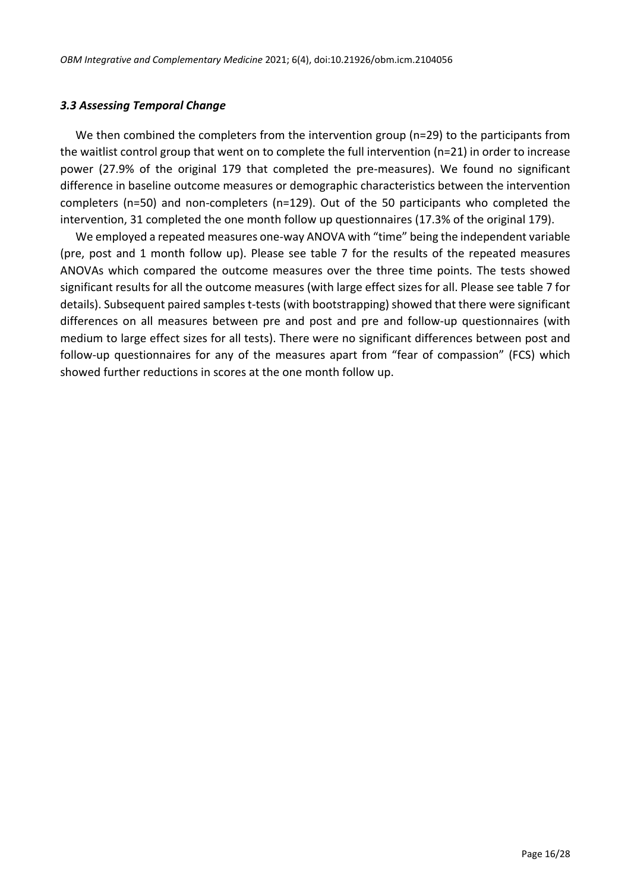### *3.3 Assessing Temporal Change*

We then combined the completers from the intervention group (n=29) to the participants from the waitlist control group that went on to complete the full intervention (n=21) in order to increase power (27.9% of the original 179 that completed the pre-measures). We found no significant difference in baseline outcome measures or demographic characteristics between the intervention completers (n=50) and non-completers (n=129). Out of the 50 participants who completed the intervention, 31 completed the one month follow up questionnaires (17.3% of the original 179).

We employed a repeated measures one-way ANOVA with "time" being the independent variable (pre, post and 1 month follow up). Please see table 7 for the results of the repeated measures ANOVAs which compared the outcome measures over the three time points. The tests showed significant results for all the outcome measures (with large effect sizes for all. Please see table 7 for details). Subsequent paired samplest-tests(with bootstrapping) showed that there were significant differences on all measures between pre and post and pre and follow-up questionnaires (with medium to large effect sizes for all tests). There were no significant differences between post and follow-up questionnaires for any of the measures apart from "fear of compassion" (FCS) which showed further reductions in scores at the one month follow up.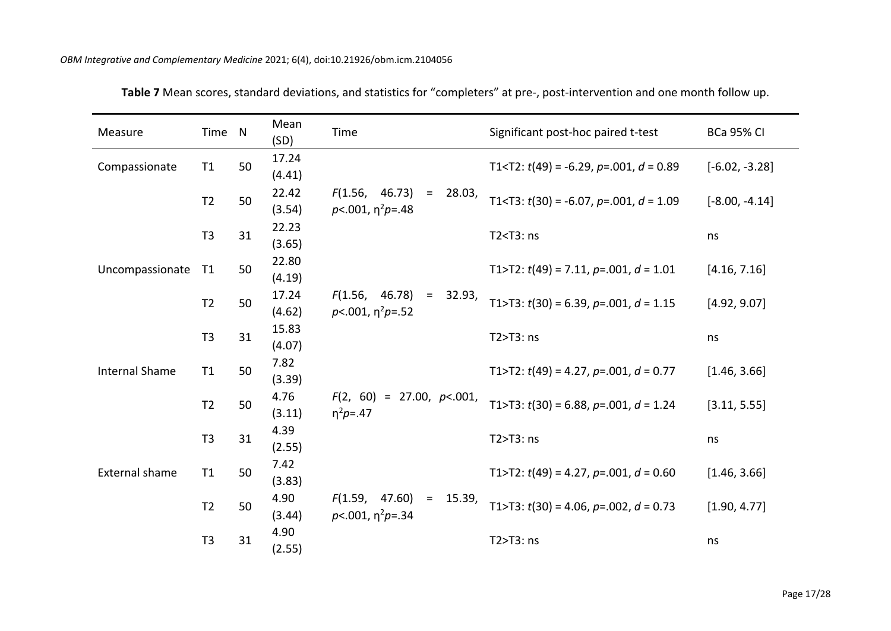| Measure               | Time N         |    | Mean<br>(SD)    | Time                                                              | Significant post-hoc paired t-test                                                 | <b>BCa 95% CI</b> |
|-----------------------|----------------|----|-----------------|-------------------------------------------------------------------|------------------------------------------------------------------------------------|-------------------|
| Compassionate         | T1             | 50 | 17.24<br>(4.41) |                                                                   | T1 <t2: <math="">t(49) = -6.29, <math>p = .001</math>, <math>d = 0.89</math></t2:> | $[-6.02, -3.28]$  |
|                       | T <sub>2</sub> | 50 | 22.42<br>(3.54) | F(1.56, 46.73)<br>28.03,<br>$\equiv$<br>$p<.001$ , $\eta^2 p=.48$ | T1 <t3: <math="">t(30) = -6.07, <math>p = .001</math>, <math>d = 1.09</math></t3:> | $[-8.00, -4.14]$  |
|                       | T <sub>3</sub> | 31 | 22.23<br>(3.65) |                                                                   | $T2 < T3$ : ns                                                                     | ns                |
| Uncompassionate       | T1             | 50 | 22.80<br>(4.19) |                                                                   | T1>T2: $t(49) = 7.11$ , $p = .001$ , $d = 1.01$                                    | [4.16, 7.16]      |
|                       | T <sub>2</sub> | 50 | 17.24<br>(4.62) | F(1.56, 46.78)<br>$= 32.93,$<br>$p<.001$ , $\eta^2 p=.52$         | T1>T3: $t(30) = 6.39$ , $p=.001$ , $d = 1.15$                                      | [4.92, 9.07]      |
|                       | T <sub>3</sub> | 31 | 15.83<br>(4.07) |                                                                   | $T2 > T3$ : ns                                                                     | ns                |
| <b>Internal Shame</b> | T1             | 50 | 7.82<br>(3.39)  |                                                                   | T1>T2: $t(49) = 4.27$ , $p=.001$ , $d = 0.77$                                      | [1.46, 3.66]      |
|                       | T <sub>2</sub> | 50 | 4.76<br>(3.11)  | $F(2, 60) = 27.00, p<.001,$<br>$\eta^2 p = .47$                   | T1>T3: $t(30) = 6.88$ , $p=.001$ , $d = 1.24$                                      | [3.11, 5.55]      |
|                       | T <sub>3</sub> | 31 | 4.39<br>(2.55)  |                                                                   | $T2 > T3$ : ns                                                                     | ns                |
| <b>External shame</b> | T1             | 50 | 7.42<br>(3.83)  |                                                                   | T1>T2: $t(49) = 4.27$ , $p = .001$ , $d = 0.60$                                    | [1.46, 3.66]      |
|                       | T <sub>2</sub> | 50 | 4.90<br>(3.44)  | F(1.59, 47.60)<br>$= 15.39,$<br>$p<.001$ , $\eta^2 p=.34$         | T1>T3: $t(30) = 4.06$ , $p=.002$ , $d = 0.73$                                      | [1.90, 4.77]      |
|                       | T <sub>3</sub> | 31 | 4.90<br>(2.55)  |                                                                   | $T2 > T3$ : ns                                                                     | ns                |

**Table 7** Mean scores, standard deviations, and statistics for "completers" at pre-, post-intervention and one month follow up.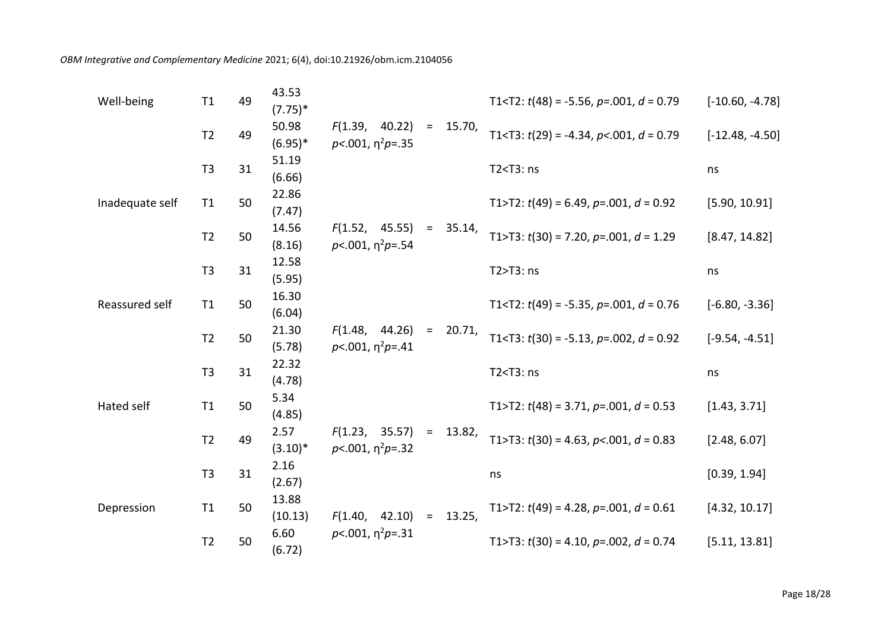| Well-being      | T1             | 49 | 43.53<br>$(7.75)^*$ |                                                        |          |            | T1 <t2: <math="">t(48) = -5.56, <math>p = .001</math>, <math>d = 0.79</math></t2:>    | $[-10.60, -4.78]$ |
|-----------------|----------------|----|---------------------|--------------------------------------------------------|----------|------------|---------------------------------------------------------------------------------------|-------------------|
|                 | T <sub>2</sub> | 49 | 50.98<br>$(6.95)*$  | F(1.39, 40.22)<br>$p<.001$ , $\eta^2 p=.35$            |          | $= 15.70,$ | T1 <t3: <math="">t(29) = -4.34, <math>p &lt; .001</math>, <math>d = 0.79</math></t3:> | $[-12.48, -4.50]$ |
|                 | T <sub>3</sub> | 31 | 51.19<br>(6.66)     |                                                        |          |            | $T2 < T3$ : ns                                                                        | ns                |
| Inadequate self | T1             | 50 | 22.86<br>(7.47)     |                                                        |          |            | T1>T2: $t(49) = 6.49$ , $p = .001$ , $d = 0.92$                                       | [5.90, 10.91]     |
|                 | T2             | 50 | 14.56<br>(8.16)     | F(1.52, 45.55)<br>$p<.001$ , $\eta^2 p=.54$            |          | $= 35.14,$ | T1>T3: $t(30) = 7.20$ , $p=.001$ , $d = 1.29$                                         | [8.47, 14.82]     |
|                 | T <sub>3</sub> | 31 | 12.58<br>(5.95)     |                                                        |          |            | $T2 > T3$ : ns                                                                        | ns                |
| Reassured self  | T1             | 50 | 16.30<br>(6.04)     |                                                        |          |            | T1 <t2: <math="">t(49) = -5.35, <math>p=.001</math>, <math>d = 0.76</math></t2:>      | $[-6.80, -3.36]$  |
|                 | T <sub>2</sub> | 50 | 21.30<br>(5.78)     | F(1.48, 44.26)<br>$p<.001$ , $\eta^2 p=.41$            |          | $= 20.71,$ | T1 <t3: <math="">t(30) = -5.13, <math>p = .002</math>, <math>d = 0.92</math></t3:>    | $[-9.54, -4.51]$  |
|                 | T <sub>3</sub> | 31 | 22.32<br>(4.78)     |                                                        |          |            | $T2 < T3$ : ns                                                                        | ns                |
| Hated self      | T1             | 50 | 5.34<br>(4.85)      |                                                        |          |            | T1>T2: $t(48) = 3.71$ , $p=.001$ , $d = 0.53$                                         | [1.43, 3.71]      |
|                 | T <sub>2</sub> | 49 | 2.57<br>$(3.10)^*$  | $F(1.23, 35.57) = 13.82,$<br>$p<.001$ , $\eta^2 p=.32$ |          |            | T1>T3: $t(30) = 4.63$ , $p<.001$ , $d = 0.83$                                         | [2.48, 6.07]      |
|                 | T <sub>3</sub> | 31 | 2.16<br>(2.67)      |                                                        |          |            | ns                                                                                    | [0.39, 1.94]      |
| Depression      | T1             | 50 | 13.88<br>(10.13)    | F(1.40, 42.10)                                         | $\equiv$ | 13.25,     | T1>T2: $t(49) = 4.28$ , $p=.001$ , $d = 0.61$                                         | [4.32, 10.17]     |
|                 | T <sub>2</sub> | 50 | 6.60<br>(6.72)      | $p<.001$ , $\eta^2 p=.31$                              |          |            | T1>T3: $t(30) = 4.10$ , $p=.002$ , $d = 0.74$                                         | [5.11, 13.81]     |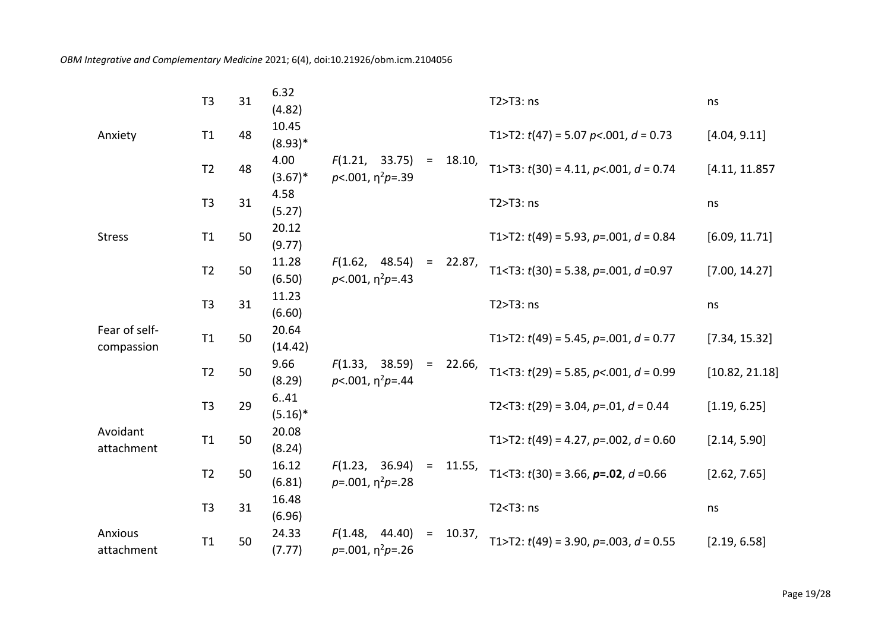|                             | T <sub>3</sub> | 31 | 6.32<br>(4.82)     |                                             |          |            | $T2 > T3$ : ns                                                                       | ns             |
|-----------------------------|----------------|----|--------------------|---------------------------------------------|----------|------------|--------------------------------------------------------------------------------------|----------------|
| Anxiety                     | T1             | 48 | 10.45<br>$(8.93)*$ |                                             |          |            | T1>T2: $t(47) = 5.07 p < .001, d = 0.73$                                             | [4.04, 9.11]   |
|                             | T <sub>2</sub> | 48 | 4.00<br>$(3.67)^*$ | F(1.21, 33.75)<br>$p<.001$ , $\eta^2 p=.39$ | $\equiv$ | 18.10,     | T1>T3: $t(30) = 4.11$ , $p < .001$ , $d = 0.74$                                      | [4.11, 11.857] |
|                             | T <sub>3</sub> | 31 | 4.58<br>(5.27)     |                                             |          |            | $T2 > T3$ : ns                                                                       | ns             |
| <b>Stress</b>               | T1             | 50 | 20.12<br>(9.77)    |                                             |          |            | T1>T2: $t(49) = 5.93$ , $p=.001$ , $d = 0.84$                                        | [6.09, 11.71]  |
|                             | T <sub>2</sub> | 50 | 11.28<br>(6.50)    | F(1.62, 48.54)<br>$p<.001$ , $\eta^2 p=.43$ | $=$      | 22.87,     | T1 <t3: <math="">t(30) = 5.38, <math>p=.001</math>, <math>d = 0.97</math></t3:>      | [7.00, 14.27]  |
|                             | T <sub>3</sub> | 31 | 11.23<br>(6.60)    |                                             |          |            | $T2 > T3$ : ns                                                                       | ns             |
| Fear of self-<br>compassion | T1             | 50 | 20.64<br>(14.42)   |                                             |          |            | T1>T2: $t(49) = 5.45$ , $p=.001$ , $d = 0.77$                                        | [7.34, 15.32]  |
|                             | T <sub>2</sub> | 50 | 9.66<br>(8.29)     | F(1.33, 38.59)<br>$p<.001$ , $\eta^2 p=.44$ | $=$      | 22.66,     | T1 <t3: <math="">t(29) = 5.85, <math>p &lt; .001</math>, <math>d = 0.99</math></t3:> | [10.82, 21.18] |
|                             | T <sub>3</sub> | 29 | 6.41<br>$(5.16)^*$ |                                             |          |            | T2 <t3: <math="">t(29) = 3.04, <math>p=.01</math>, <math>d = 0.44</math></t3:>       | [1.19, 6.25]   |
| Avoidant<br>attachment      | T1             | 50 | 20.08<br>(8.24)    |                                             |          |            | T1>T2: $t(49) = 4.27$ , $p = .002$ , $d = 0.60$                                      | [2.14, 5.90]   |
|                             | T <sub>2</sub> | 50 | 16.12<br>(6.81)    | F(1.23, 36.94)<br>$p=.001, \eta^2 p=.28$    |          | $= 11.55,$ | T1 <t3: <math="">t(30) = 3.66, <math>p=.02</math>, <math>d = 0.66</math></t3:>       | [2.62, 7.65]   |
|                             | T <sub>3</sub> | 31 | 16.48<br>(6.96)    |                                             |          |            | $T2 < T3$ : ns                                                                       | ns             |
| Anxious<br>attachment       | T1             | 50 | 24.33<br>(7.77)    | F(1.48, 44.40)<br>$p=.001, \eta^2 p=.26$    | $\equiv$ | 10.37,     | T1>T2: $t(49) = 3.90$ , $p = .003$ , $d = 0.55$                                      | [2.19, 6.58]   |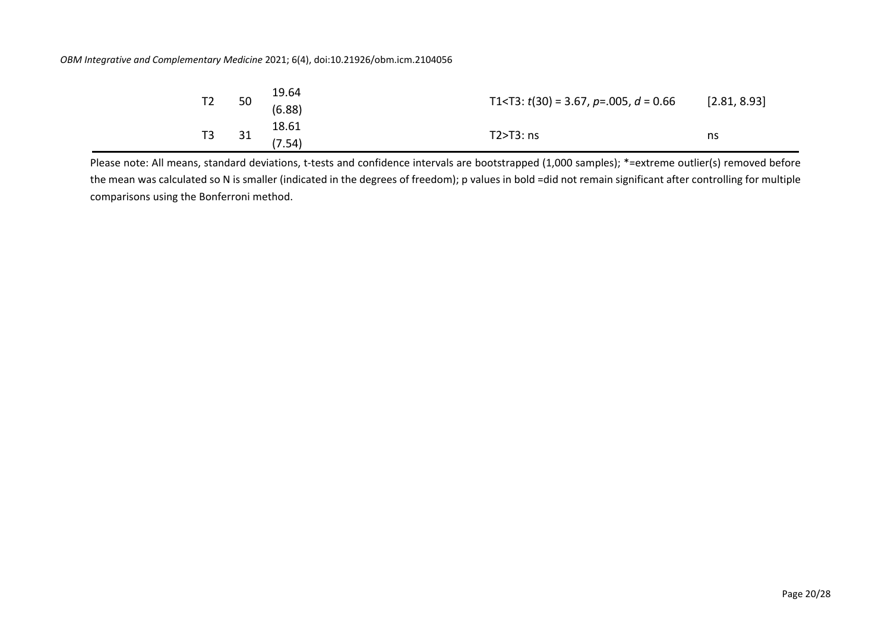#### *OBM Integrative and Complementary Medicine* 2021; 6(4), doi:10.21926/obm.icm.2104056

| 19.64<br>T2<br>50<br>(6.88)             | T1 <t3: <math="">t(30) = 3.67, <math>p = .005</math>, <math>d = 0.66</math></t3:> | [2.81, 8.93] |
|-----------------------------------------|-----------------------------------------------------------------------------------|--------------|
| 18.61<br>T <sub>3</sub><br>31<br>(7.54) | $T2 > T3$ : ns                                                                    | ns           |

Please note: All means, standard deviations, t-tests and confidence intervals are bootstrapped (1,000 samples); \*=extreme outlier(s) removed before the mean was calculated so N is smaller (indicated in the degrees of freedom); p values in bold =did not remain significant after controlling for multiple comparisons using the Bonferroni method.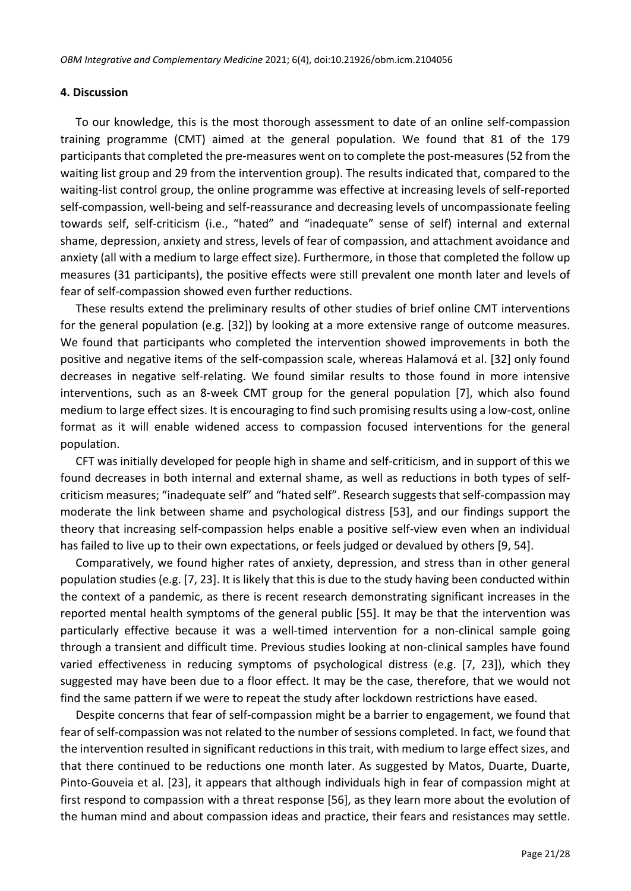#### **4. Discussion**

To our knowledge, this is the most thorough assessment to date of an online self-compassion training programme (CMT) aimed at the general population. We found that 81 of the 179 participants that completed the pre-measures went on to complete the post-measures (52 from the waiting list group and 29 from the intervention group). The results indicated that, compared to the waiting-list control group, the online programme was effective at increasing levels of self-reported self-compassion, well-being and self-reassurance and decreasing levels of uncompassionate feeling towards self, self-criticism (i.e., "hated" and "inadequate" sense of self) internal and external shame, depression, anxiety and stress, levels of fear of compassion, and attachment avoidance and anxiety (all with a medium to large effect size). Furthermore, in those that completed the follow up measures (31 participants), the positive effects were still prevalent one month later and levels of fear of self-compassion showed even further reductions.

These results extend the preliminary results of other studies of brief online CMT interventions for the general population (e.g. [32]) by looking at a more extensive range of outcome measures. We found that participants who completed the intervention showed improvements in both the positive and negative items of the self-compassion scale, whereas Halamová et al. [32] only found decreases in negative self-relating. We found similar results to those found in more intensive interventions, such as an 8-week CMT group for the general population [7], which also found medium to large effect sizes. It is encouraging to find such promising results using a low-cost, online format as it will enable widened access to compassion focused interventions for the general population.

CFT was initially developed for people high in shame and self-criticism, and in support of this we found decreases in both internal and external shame, as well as reductions in both types of selfcriticism measures; "inadequate self" and "hated self". Research suggests that self-compassion may moderate the link between shame and psychological distress [53], and our findings support the theory that increasing self-compassion helps enable a positive self-view even when an individual has failed to live up to their own expectations, or feels judged or devalued by others [9, 54].

Comparatively, we found higher rates of anxiety, depression, and stress than in other general population studies (e.g. [7, 23]. It is likely that this is due to the study having been conducted within the context of a pandemic, as there is recent research demonstrating significant increases in the reported mental health symptoms of the general public [55]. It may be that the intervention was particularly effective because it was a well-timed intervention for a non-clinical sample going through a transient and difficult time. Previous studies looking at non-clinical samples have found varied effectiveness in reducing symptoms of psychological distress (e.g. [7, 23]), which they suggested may have been due to a floor effect. It may be the case, therefore, that we would not find the same pattern if we were to repeat the study after lockdown restrictions have eased.

Despite concerns that fear of self-compassion might be a barrier to engagement, we found that fear of self-compassion was not related to the number of sessions completed. In fact, we found that the intervention resulted in significant reductions in this trait, with medium to large effect sizes, and that there continued to be reductions one month later. As suggested by Matos, Duarte, Duarte, Pinto-Gouveia et al. [23], it appears that although individuals high in fear of compassion might at first respond to compassion with a threat response [56], as they learn more about the evolution of the human mind and about compassion ideas and practice, their fears and resistances may settle.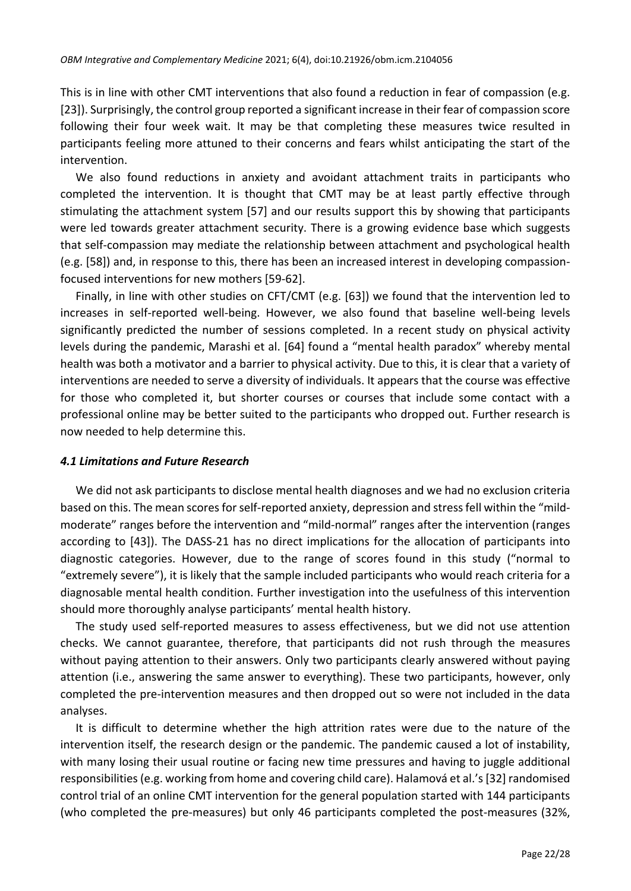This is in line with other CMT interventions that also found a reduction in fear of compassion (e.g. [23]). Surprisingly, the control group reported a significant increase in their fear of compassion score following their four week wait. It may be that completing these measures twice resulted in participants feeling more attuned to their concerns and fears whilst anticipating the start of the intervention.

We also found reductions in anxiety and avoidant attachment traits in participants who completed the intervention. It is thought that CMT may be at least partly effective through stimulating the attachment system [57] and our results support this by showing that participants were led towards greater attachment security. There is a growing evidence base which suggests that self-compassion may mediate the relationship between attachment and psychological health (e.g. [58]) and, in response to this, there has been an increased interest in developing compassionfocused interventions for new mothers [59-62].

Finally, in line with other studies on CFT/CMT (e.g. [63]) we found that the intervention led to increases in self-reported well-being. However, we also found that baseline well-being levels significantly predicted the number of sessions completed. In a recent study on physical activity levels during the pandemic, Marashi et al. [64] found a "mental health paradox" whereby mental health was both a motivator and a barrier to physical activity. Due to this, it is clear that a variety of interventions are needed to serve a diversity of individuals. It appears that the course was effective for those who completed it, but shorter courses or courses that include some contact with a professional online may be better suited to the participants who dropped out. Further research is now needed to help determine this.

#### *4.1 Limitations and Future Research*

We did not ask participants to disclose mental health diagnoses and we had no exclusion criteria based on this. The mean scores for self-reported anxiety, depression and stress fell within the "mildmoderate" ranges before the intervention and "mild-normal" ranges after the intervention (ranges according to [43]). The DASS-21 has no direct implications for the allocation of participants into diagnostic categories. However, due to the range of scores found in this study ("normal to "extremely severe"), it is likely that the sample included participants who would reach criteria for a diagnosable mental health condition. Further investigation into the usefulness of this intervention should more thoroughly analyse participants' mental health history.

The study used self-reported measures to assess effectiveness, but we did not use attention checks. We cannot guarantee, therefore, that participants did not rush through the measures without paying attention to their answers. Only two participants clearly answered without paying attention (i.e., answering the same answer to everything). These two participants, however, only completed the pre-intervention measures and then dropped out so were not included in the data analyses.

It is difficult to determine whether the high attrition rates were due to the nature of the intervention itself, the research design or the pandemic. The pandemic caused a lot of instability, with many losing their usual routine or facing new time pressures and having to juggle additional responsibilities(e.g. working from home and covering child care). Halamová et al.'s[32] randomised control trial of an online CMT intervention for the general population started with 144 participants (who completed the pre-measures) but only 46 participants completed the post-measures (32%,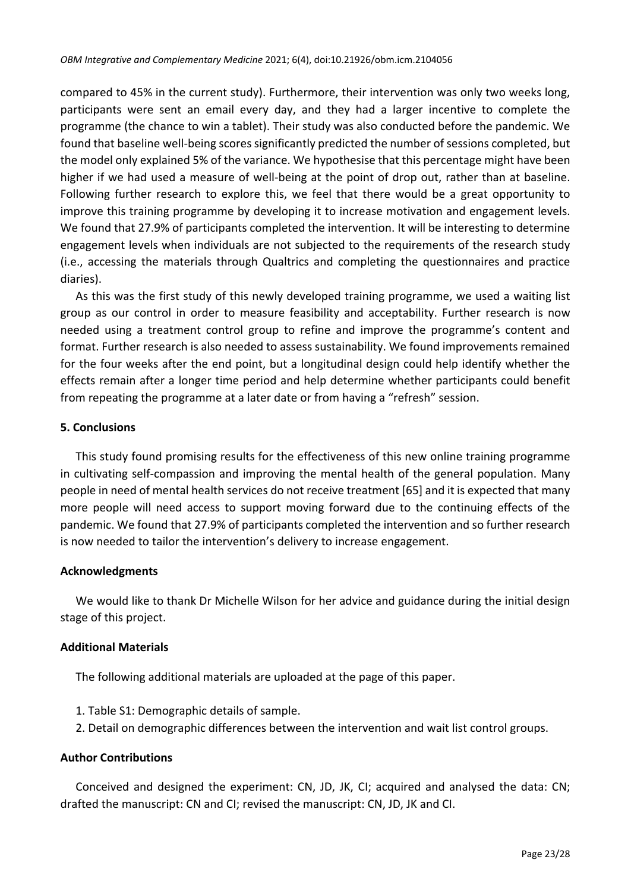compared to 45% in the current study). Furthermore, their intervention was only two weeks long, participants were sent an email every day, and they had a larger incentive to complete the programme (the chance to win a tablet). Their study was also conducted before the pandemic. We found that baseline well-being scores significantly predicted the number of sessions completed, but the model only explained 5% of the variance. We hypothesise that this percentage might have been higher if we had used a measure of well-being at the point of drop out, rather than at baseline. Following further research to explore this, we feel that there would be a great opportunity to improve this training programme by developing it to increase motivation and engagement levels. We found that 27.9% of participants completed the intervention. It will be interesting to determine engagement levels when individuals are not subjected to the requirements of the research study (i.e., accessing the materials through Qualtrics and completing the questionnaires and practice diaries).

As this was the first study of this newly developed training programme, we used a waiting list group as our control in order to measure feasibility and acceptability. Further research is now needed using a treatment control group to refine and improve the programme's content and format. Further research is also needed to assess sustainability. We found improvements remained for the four weeks after the end point, but a longitudinal design could help identify whether the effects remain after a longer time period and help determine whether participants could benefit from repeating the programme at a later date or from having a "refresh" session.

### **5. Conclusions**

This study found promising results for the effectiveness of this new online training programme in cultivating self‐compassion and improving the mental health of the general population. Many people in need of mental health services do not receive treatment [65] and it is expected that many more people will need access to support moving forward due to the continuing effects of the pandemic. We found that 27.9% of participants completed the intervention and so further research is now needed to tailor the intervention's delivery to increase engagement.

### **Acknowledgments**

We would like to thank Dr Michelle Wilson for her advice and guidance during the initial design stage of this project.

### **Additional Materials**

The following additional materials are uploaded at the page of this paper.

- 1. Table S1: Demographic details of sample.
- 2. Detail on demographic differences between the intervention and wait list control groups.

### **Author Contributions**

Conceived and designed the experiment: CN, JD, JK, CI; acquired and analysed the data: CN; drafted the manuscript: CN and CI; revised the manuscript: CN, JD, JK and CI.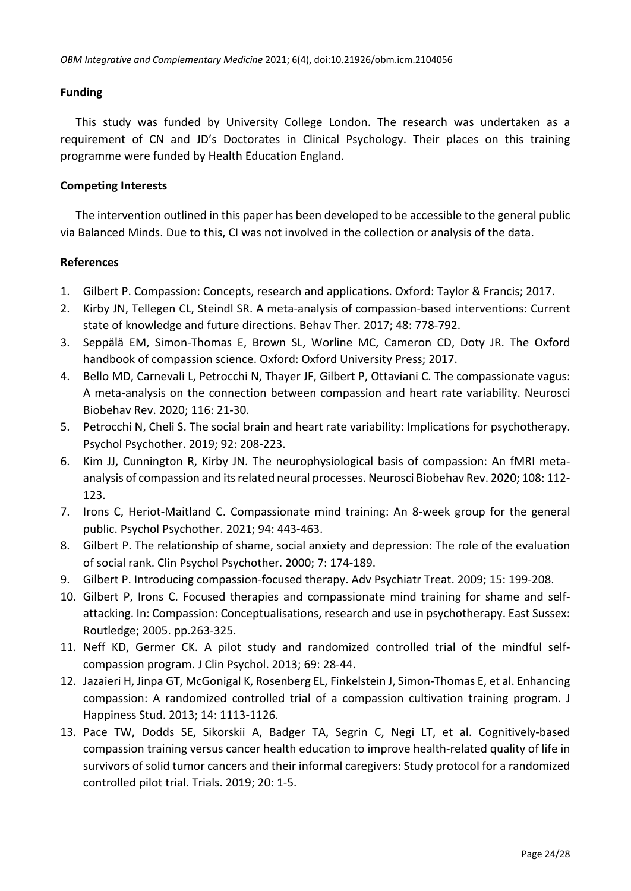### **Funding**

This study was funded by University College London. The research was undertaken as a requirement of CN and JD's Doctorates in Clinical Psychology. Their places on this training programme were funded by Health Education England.

### **Competing Interests**

The intervention outlined in this paper has been developed to be accessible to the general public via Balanced Minds. Due to this, CI was not involved in the collection or analysis of the data.

### **References**

- 1. Gilbert P. Compassion: Concepts, research and applications. Oxford: Taylor & Francis; 2017.
- 2. Kirby JN, Tellegen CL, Steindl SR. A meta-analysis of compassion-based interventions: Current state of knowledge and future directions. Behav Ther. 2017; 48: 778-792.
- 3. Seppälä EM, Simon-Thomas E, Brown SL, Worline MC, Cameron CD, Doty JR. The Oxford handbook of compassion science. Oxford: Oxford University Press; 2017.
- 4. Bello MD, Carnevali L, Petrocchi N, Thayer JF, Gilbert P, Ottaviani C. The compassionate vagus: A meta-analysis on the connection between compassion and heart rate variability. Neurosci Biobehav Rev. 2020; 116: 21-30.
- 5. Petrocchi N, Cheli S. The social brain and heart rate variability: Implications for psychotherapy. Psychol Psychother. 2019; 92: 208-223.
- 6. Kim JJ, Cunnington R, Kirby JN. The neurophysiological basis of compassion: An fMRI metaanalysis of compassion and itsrelated neural processes. Neurosci Biobehav Rev. 2020; 108: 112- 123.
- 7. Irons C, Heriot‐Maitland C. Compassionate mind training: An 8‐week group for the general public. Psychol Psychother. 2021; 94: 443-463.
- 8. Gilbert P. The relationship of shame, social anxiety and depression: The role of the evaluation of social rank. Clin Psychol Psychother. 2000; 7: 174-189.
- 9. Gilbert P. Introducing compassion-focused therapy. Adv Psychiatr Treat. 2009; 15: 199-208.
- 10. Gilbert P, Irons C. Focused therapies and compassionate mind training for shame and selfattacking. In: Compassion: Conceptualisations, research and use in psychotherapy. East Sussex: Routledge; 2005. pp.263-325.
- 11. Neff KD, Germer CK. A pilot study and randomized controlled trial of the mindful self‐ compassion program. J Clin Psychol. 2013; 69: 28-44.
- 12. Jazaieri H, Jinpa GT, McGonigal K, Rosenberg EL, Finkelstein J, Simon-Thomas E, et al. Enhancing compassion: A randomized controlled trial of a compassion cultivation training program. J Happiness Stud. 2013; 14: 1113-1126.
- 13. Pace TW, Dodds SE, Sikorskii A, Badger TA, Segrin C, Negi LT, et al. Cognitively-based compassion training versus cancer health education to improve health-related quality of life in survivors of solid tumor cancers and their informal caregivers: Study protocol for a randomized controlled pilot trial. Trials. 2019; 20: 1-5.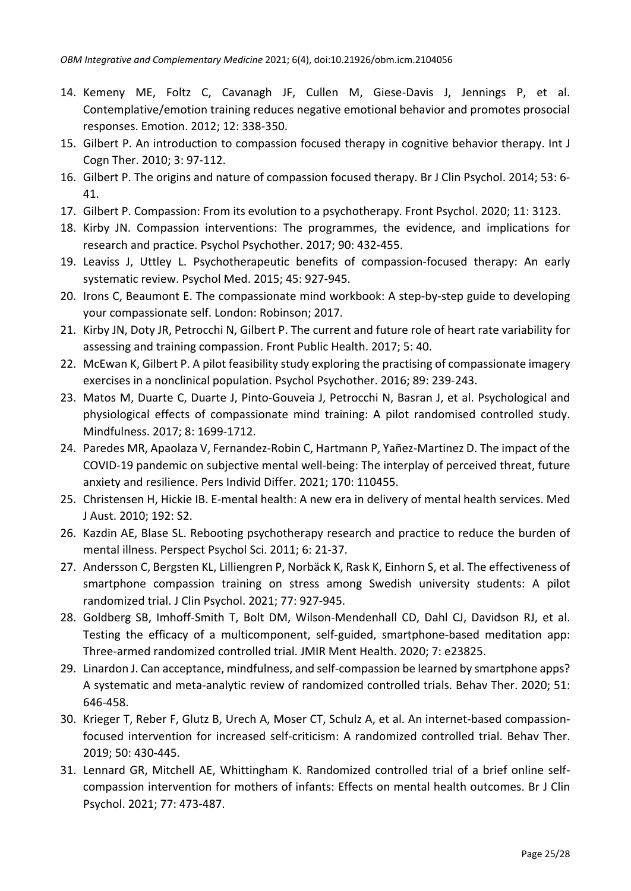- 14. Kemeny ME, Foltz C, Cavanagh JF, Cullen M, Giese-Davis J, Jennings P, et al. Contemplative/emotion training reduces negative emotional behavior and promotes prosocial responses. Emotion. 2012; 12: 338-350.
- 15. Gilbert P. An introduction to compassion focused therapy in cognitive behavior therapy. Int J Cogn Ther. 2010; 3: 97-112.
- 16. Gilbert P. The origins and nature of compassion focused therapy. Br J Clin Psychol. 2014; 53: 6- 41.
- 17. Gilbert P. Compassion: From its evolution to a psychotherapy. Front Psychol. 2020; 11: 3123.
- 18. Kirby JN. Compassion interventions: The programmes, the evidence, and implications for research and practice. Psychol Psychother. 2017; 90: 432-455.
- 19. Leaviss J, Uttley L. Psychotherapeutic benefits of compassion-focused therapy: An early systematic review. Psychol Med. 2015; 45: 927-945.
- 20. Irons C, Beaumont E. The compassionate mind workbook: A step-by-step guide to developing your compassionate self. London: Robinson; 2017.
- 21. Kirby JN, Doty JR, Petrocchi N, Gilbert P. The current and future role of heart rate variability for assessing and training compassion. Front Public Health. 2017; 5: 40.
- 22. McEwan K, Gilbert P. A pilot feasibility study exploring the practising of compassionate imagery exercises in a nonclinical population. Psychol Psychother. 2016; 89: 239-243.
- 23. Matos M, Duarte C, Duarte J, Pinto-Gouveia J, Petrocchi N, Basran J, et al. Psychological and physiological effects of compassionate mind training: A pilot randomised controlled study. Mindfulness. 2017; 8: 1699-1712.
- 24. Paredes MR, Apaolaza V, Fernandez-Robin C, Hartmann P, Yañez-Martinez D. The impact of the COVID-19 pandemic on subjective mental well-being: The interplay of perceived threat, future anxiety and resilience. Pers Individ Differ. 2021; 170: 110455.
- 25. Christensen H, Hickie IB. E-mental health: A new era in delivery of mental health services. Med J Aust. 2010; 192: S2.
- 26. Kazdin AE, Blase SL. Rebooting psychotherapy research and practice to reduce the burden of mental illness. Perspect Psychol Sci. 2011; 6: 21-37.
- 27. Andersson C, Bergsten KL, Lilliengren P, Norbäck K, Rask K, Einhorn S, et al. The effectiveness of smartphone compassion training on stress among Swedish university students: A pilot randomized trial. J Clin Psychol. 2021; 77: 927-945.
- 28. Goldberg SB, Imhoff-Smith T, Bolt DM, Wilson-Mendenhall CD, Dahl CJ, Davidson RJ, et al. Testing the efficacy of a multicomponent, self-guided, smartphone-based meditation app: Three-armed randomized controlled trial. JMIR Ment Health. 2020; 7: e23825.
- 29. Linardon J. Can acceptance, mindfulness, and self-compassion be learned by smartphone apps? A systematic and meta-analytic review of randomized controlled trials. Behav Ther. 2020; 51: 646-458.
- 30. Krieger T, Reber F, Glutz B, Urech A, Moser CT, Schulz A, et al. An internet-based compassionfocused intervention for increased self-criticism: A randomized controlled trial. Behav Ther. 2019; 50: 430-445.
- 31. Lennard GR, Mitchell AE, Whittingham K. Randomized controlled trial of a brief online self‐ compassion intervention for mothers of infants: Effects on mental health outcomes. Br J Clin Psychol. 2021; 77: 473-487.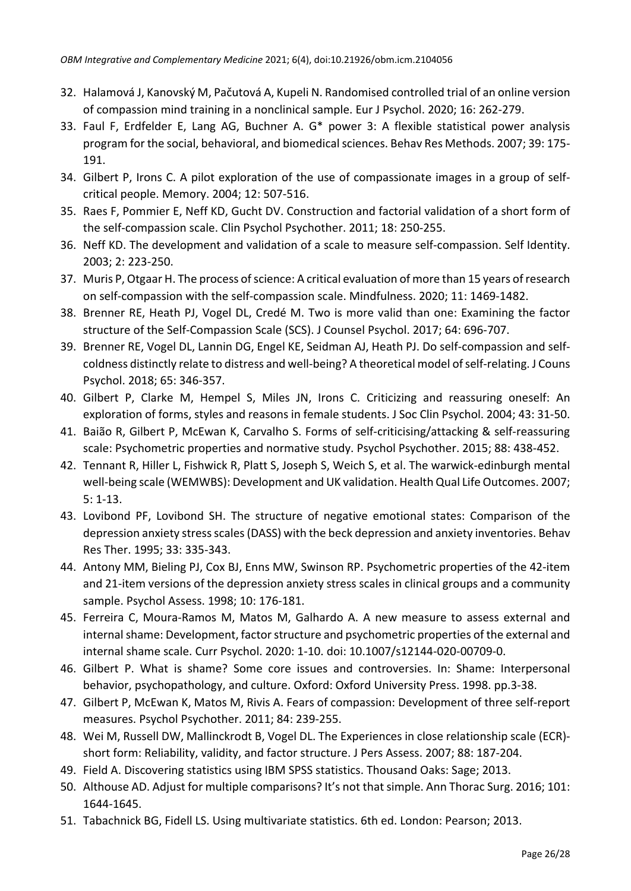- 32. Halamová J, KanovskýM, Pačutová A, Kupeli N. Randomised controlled trial of an online version of compassion mind training in a nonclinical sample. Eur J Psychol. 2020; 16: 262-279.
- 33. Faul F, Erdfelder E, Lang AG, Buchner A. G\* power 3: A flexible statistical power analysis program for the social, behavioral, and biomedical sciences. Behav Res Methods. 2007; 39: 175-191.
- 34. Gilbert P, Irons C. A pilot exploration of the use of compassionate images in a group of self‐ critical people. Memory. 2004; 12: 507-516.
- 35. Raes F, Pommier E, Neff KD, Gucht DV. Construction and factorial validation of a short form of the self‐compassion scale. Clin Psychol Psychother. 2011; 18: 250-255.
- 36. Neff KD. The development and validation of a scale to measure self-compassion. Self Identity. 2003; 2: 223-250.
- 37. Muris P, Otgaar H. The process of science: A critical evaluation of more than 15 years of research on self-compassion with the self-compassion scale. Mindfulness. 2020; 11: 1469-1482.
- 38. Brenner RE, Heath PJ, Vogel DL, Credé M. Two is more valid than one: Examining the factor structure of the Self-Compassion Scale (SCS). J Counsel Psychol. 2017; 64: 696-707.
- 39. Brenner RE, Vogel DL, Lannin DG, Engel KE, Seidman AJ, Heath PJ. Do self-compassion and selfcoldness distinctly relate to distress and well-being? A theoretical model of self-relating. J Couns Psychol. 2018; 65: 346-357.
- 40. Gilbert P, Clarke M, Hempel S, Miles JN, Irons C. Criticizing and reassuring oneself: An exploration of forms, styles and reasons in female students. J Soc Clin Psychol. 2004; 43: 31-50.
- 41. Baião R, Gilbert P, McEwan K, Carvalho S. Forms of self‐criticising/attacking & self‐reassuring scale: Psychometric properties and normative study. Psychol Psychother. 2015; 88: 438-452.
- 42. Tennant R, Hiller L, Fishwick R, Platt S, Joseph S, Weich S, et al. The warwick-edinburgh mental well-being scale (WEMWBS): Development and UK validation. Health Qual Life Outcomes. 2007; 5: 1-13.
- 43. Lovibond PF, Lovibond SH. The structure of negative emotional states: Comparison of the depression anxiety stressscales(DASS) with the beck depression and anxiety inventories. Behav Res Ther. 1995; 33: 335-343.
- 44. Antony MM, Bieling PJ, Cox BJ, Enns MW, Swinson RP. Psychometric properties of the 42-item and 21-item versions of the depression anxiety stress scales in clinical groups and a community sample. Psychol Assess. 1998; 10: 176-181.
- 45. Ferreira C, Moura-Ramos M, Matos M, Galhardo A. A new measure to assess external and internal shame: Development, factor structure and psychometric properties of the external and internal shame scale. Curr Psychol. 2020: 1-10. doi: 10.1007/s12144-020-00709-0.
- 46. Gilbert P. What is shame? Some core issues and controversies. In: Shame: Interpersonal behavior, psychopathology, and culture. Oxford: Oxford University Press. 1998. pp.3-38.
- 47. Gilbert P, McEwan K, Matos M, Rivis A. Fears of compassion: Development of three self‐report measures. Psychol Psychother. 2011; 84: 239-255.
- 48. Wei M, Russell DW, Mallinckrodt B, Vogel DL. The Experiences in close relationship scale (ECR) short form: Reliability, validity, and factor structure. J Pers Assess. 2007; 88: 187-204.
- 49. Field A. Discovering statistics using IBM SPSS statistics. Thousand Oaks: Sage; 2013.
- 50. Althouse AD. Adjust for multiple comparisons? It's not that simple. Ann Thorac Surg. 2016; 101: 1644-1645.
- 51. Tabachnick BG, Fidell LS. Using multivariate statistics. 6th ed. London: Pearson; 2013.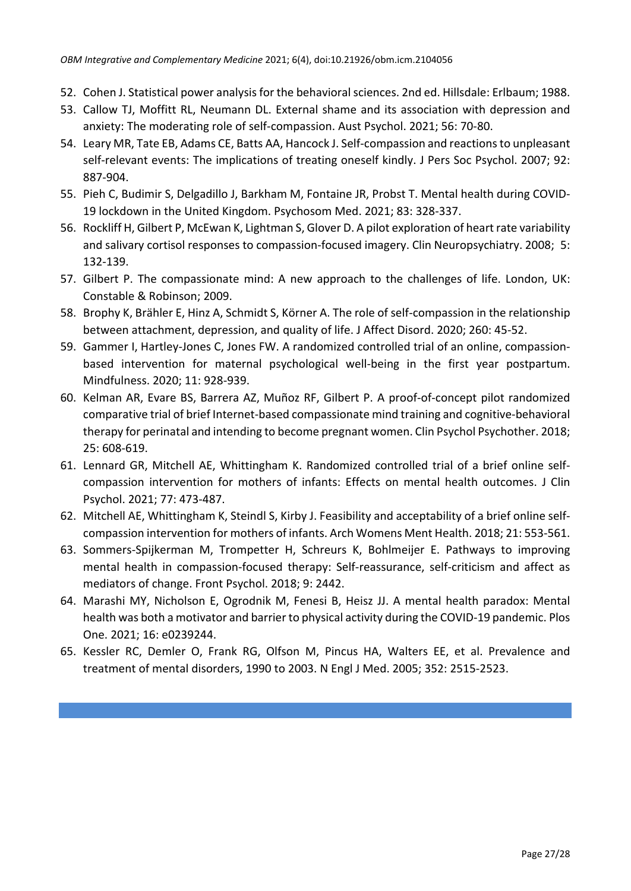- 52. Cohen J. Statistical power analysis for the behavioral sciences. 2nd ed. Hillsdale: Erlbaum; 1988.
- 53. Callow TJ, Moffitt RL, Neumann DL. External shame and its association with depression and anxiety: The moderating role of self-compassion. Aust Psychol. 2021; 56: 70-80.
- 54. Leary MR, Tate EB, Adams CE, Batts AA, Hancock J. Self-compassion and reactionsto unpleasant self-relevant events: The implications of treating oneself kindly. J Pers Soc Psychol. 2007; 92: 887-904.
- 55. Pieh C, Budimir S, Delgadillo J, Barkham M, Fontaine JR, Probst T. Mental health during COVID-19 lockdown in the United Kingdom. Psychosom Med. 2021; 83: 328-337.
- 56. Rockliff H, Gilbert P, McEwan K, Lightman S, Glover D. A pilot exploration of heart rate variability and salivary cortisol responses to compassion-focused imagery. Clin Neuropsychiatry. 2008; 5: 132-139.
- 57. Gilbert P. The compassionate mind: A new approach to the challenges of life. London, UK: Constable & Robinson; 2009.
- 58. Brophy K, Brähler E, Hinz A, Schmidt S, Körner A. The role of self-compassion in the relationship between attachment, depression, and quality of life. J Affect Disord. 2020; 260: 45-52.
- 59. Gammer I, Hartley-Jones C, Jones FW. A randomized controlled trial of an online, compassionbased intervention for maternal psychological well-being in the first year postpartum. Mindfulness. 2020; 11: 928-939.
- 60. Kelman AR, Evare BS, Barrera AZ, Muñoz RF, Gilbert P. A proof‐of‐concept pilot randomized comparative trial of brief Internet‐based compassionate mind training and cognitive‐behavioral therapy for perinatal and intending to become pregnant women. Clin Psychol Psychother. 2018; 25: 608-619.
- 61. Lennard GR, Mitchell AE, Whittingham K. Randomized controlled trial of a brief online self‐ compassion intervention for mothers of infants: Effects on mental health outcomes. J Clin Psychol. 2021; 77: 473-487.
- 62. Mitchell AE, Whittingham K, Steindl S, Kirby J. Feasibility and acceptability of a brief online selfcompassion intervention for mothers of infants. Arch Womens Ment Health. 2018; 21: 553-561.
- 63. Sommers-Spijkerman M, Trompetter H, Schreurs K, Bohlmeijer E. Pathways to improving mental health in compassion-focused therapy: Self-reassurance, self-criticism and affect as mediators of change. Front Psychol. 2018; 9: 2442.
- 64. Marashi MY, Nicholson E, Ogrodnik M, Fenesi B, Heisz JJ. A mental health paradox: Mental health was both a motivator and barrier to physical activity during the COVID-19 pandemic. Plos One. 2021; 16: e0239244.
- 65. Kessler RC, Demler O, Frank RG, Olfson M, Pincus HA, Walters EE, et al. Prevalence and treatment of mental disorders, 1990 to 2003. N Engl J Med. 2005; 352: 2515-2523.